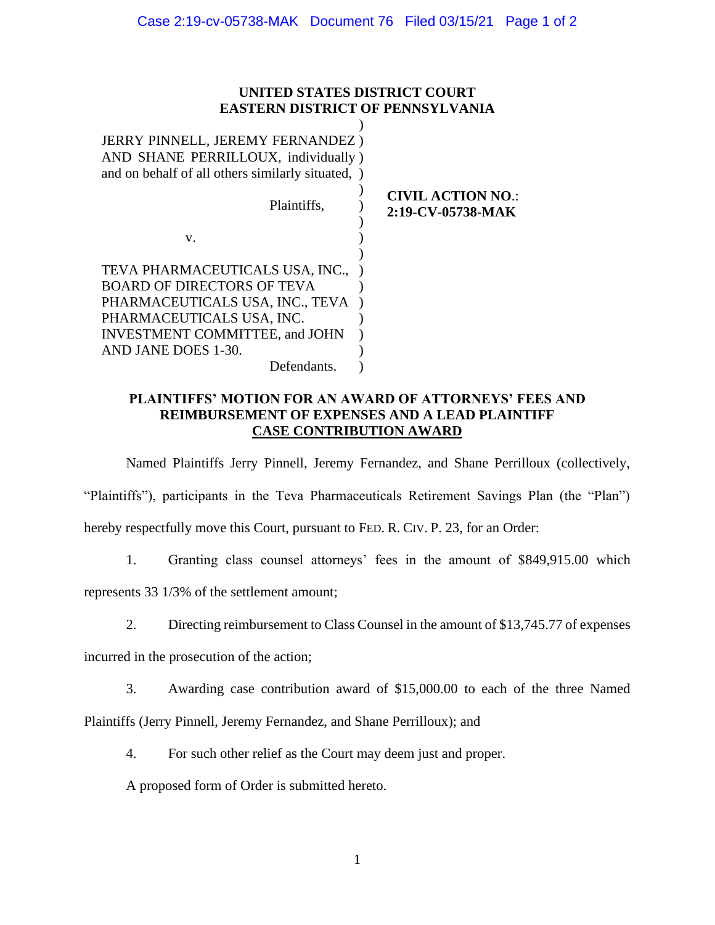# **UNITED STATES DISTRICT COURT EASTERN DISTRICT OF PENNSYLVANIA**

| <b>JERRY PINNELL, JEREMY FERNANDEZ)</b><br>AND SHANE PERRILLOUX, individually)<br>and on behalf of all others similarly situated, )                                                                  |                                               |
|------------------------------------------------------------------------------------------------------------------------------------------------------------------------------------------------------|-----------------------------------------------|
| Plaintiffs,                                                                                                                                                                                          | <b>CIVIL ACTION NO.:</b><br>2:19-CV-05738-MAK |
| V.                                                                                                                                                                                                   |                                               |
| TEVA PHARMACEUTICALS USA, INC.,<br><b>BOARD OF DIRECTORS OF TEVA</b><br>PHARMACEUTICALS USA, INC., TEVA<br>PHARMACEUTICALS USA, INC.<br><b>INVESTMENT COMMITTEE, and JOHN</b><br>AND JANE DOES 1-30. |                                               |
| Defendants.                                                                                                                                                                                          |                                               |

# **PLAINTIFFS' MOTION FOR AN AWARD OF ATTORNEYS' FEES AND REIMBURSEMENT OF EXPENSES AND A LEAD PLAINTIFF CASE CONTRIBUTION AWARD**

Named Plaintiffs Jerry Pinnell, Jeremy Fernandez, and Shane Perrilloux (collectively, "Plaintiffs"), participants in the Teva Pharmaceuticals Retirement Savings Plan (the "Plan") hereby respectfully move this Court, pursuant to FED. R. CIV. P. 23, for an Order:

1. Granting class counsel attorneys' fees in the amount of \$849,915.00 which

represents 33 1/3% of the settlement amount;

2. Directing reimbursement to Class Counsel in the amount of \$13,745.77 of expenses

incurred in the prosecution of the action;

3. Awarding case contribution award of \$15,000.00 to each of the three Named

Plaintiffs (Jerry Pinnell, Jeremy Fernandez, and Shane Perrilloux); and

4. For such other relief as the Court may deem just and proper.

A proposed form of Order is submitted hereto.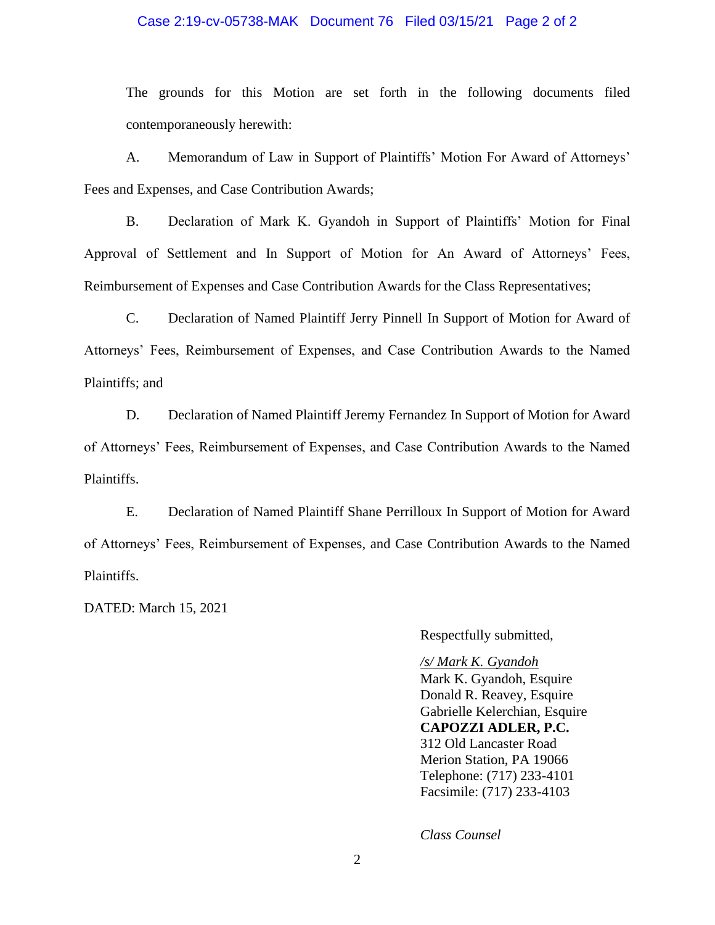## Case 2:19-cv-05738-MAK Document 76 Filed 03/15/21 Page 2 of 2

The grounds for this Motion are set forth in the following documents filed contemporaneously herewith:

A. Memorandum of Law in Support of Plaintiffs' Motion For Award of Attorneys' Fees and Expenses, and Case Contribution Awards;

B. Declaration of Mark K. Gyandoh in Support of Plaintiffs' Motion for Final Approval of Settlement and In Support of Motion for An Award of Attorneys' Fees, Reimbursement of Expenses and Case Contribution Awards for the Class Representatives;

C. Declaration of Named Plaintiff Jerry Pinnell In Support of Motion for Award of Attorneys' Fees, Reimbursement of Expenses, and Case Contribution Awards to the Named Plaintiffs; and

D. Declaration of Named Plaintiff Jeremy Fernandez In Support of Motion for Award of Attorneys' Fees, Reimbursement of Expenses, and Case Contribution Awards to the Named Plaintiffs.

E. Declaration of Named Plaintiff Shane Perrilloux In Support of Motion for Award of Attorneys' Fees, Reimbursement of Expenses, and Case Contribution Awards to the Named Plaintiffs.

DATED: March 15, 2021

Respectfully submitted,

# */s/ Mark K. Gyandoh*

Mark K. Gyandoh, Esquire Donald R. Reavey, Esquire Gabrielle Kelerchian, Esquire **CAPOZZI ADLER, P.C.** 312 Old Lancaster Road Merion Station, PA 19066 Telephone: (717) 233-4101 Facsimile: (717) 233-4103

*Class Counsel*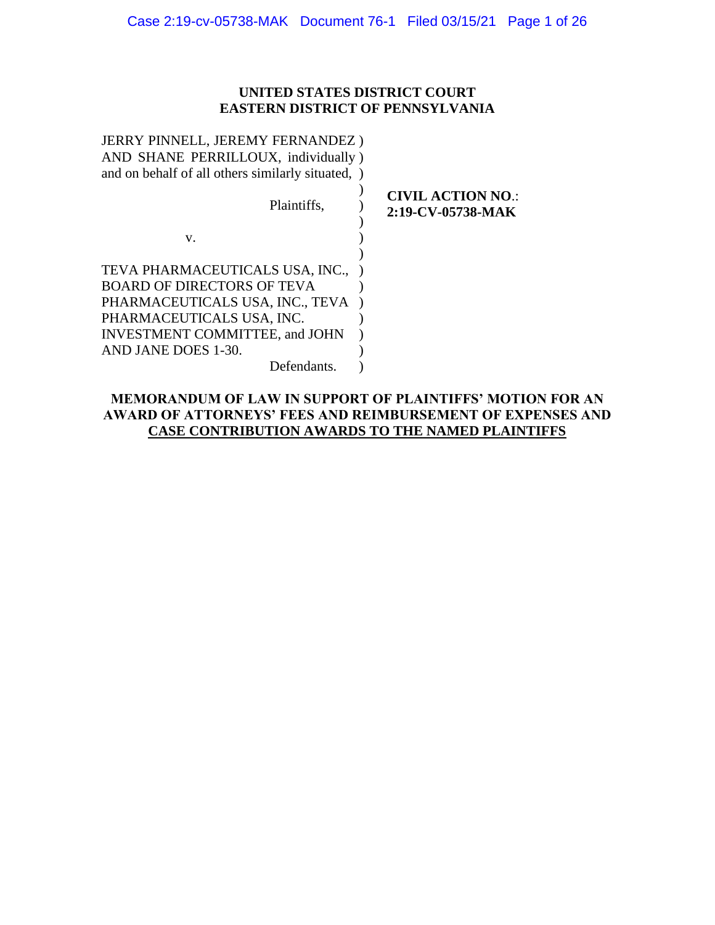# **UNITED STATES DISTRICT COURT EASTERN DISTRICT OF PENNSYLVANIA**

| JERRY PINNELL, JEREMY FERNANDEZ)<br>AND SHANE PERRILLOUX, individually)<br>and on behalf of all others similarly situated, )                                                  |                                               |
|-------------------------------------------------------------------------------------------------------------------------------------------------------------------------------|-----------------------------------------------|
| Plaintiffs,                                                                                                                                                                   | <b>CIVIL ACTION NO.:</b><br>2:19-CV-05738-MAK |
| V.                                                                                                                                                                            |                                               |
| TEVA PHARMACEUTICALS USA, INC.,<br><b>BOARD OF DIRECTORS OF TEVA</b><br>PHARMACEUTICALS USA, INC., TEVA<br>PHARMACEUTICALS USA, INC.<br><b>INVESTMENT COMMITTEE, and JOHN</b> |                                               |
| AND JANE DOES 1-30.                                                                                                                                                           |                                               |
| Defendants.                                                                                                                                                                   |                                               |

# **MEMORANDUM OF LAW IN SUPPORT OF PLAINTIFFS' MOTION FOR AN AWARD OF ATTORNEYS' FEES AND REIMBURSEMENT OF EXPENSES AND CASE CONTRIBUTION AWARDS TO THE NAMED PLAINTIFFS**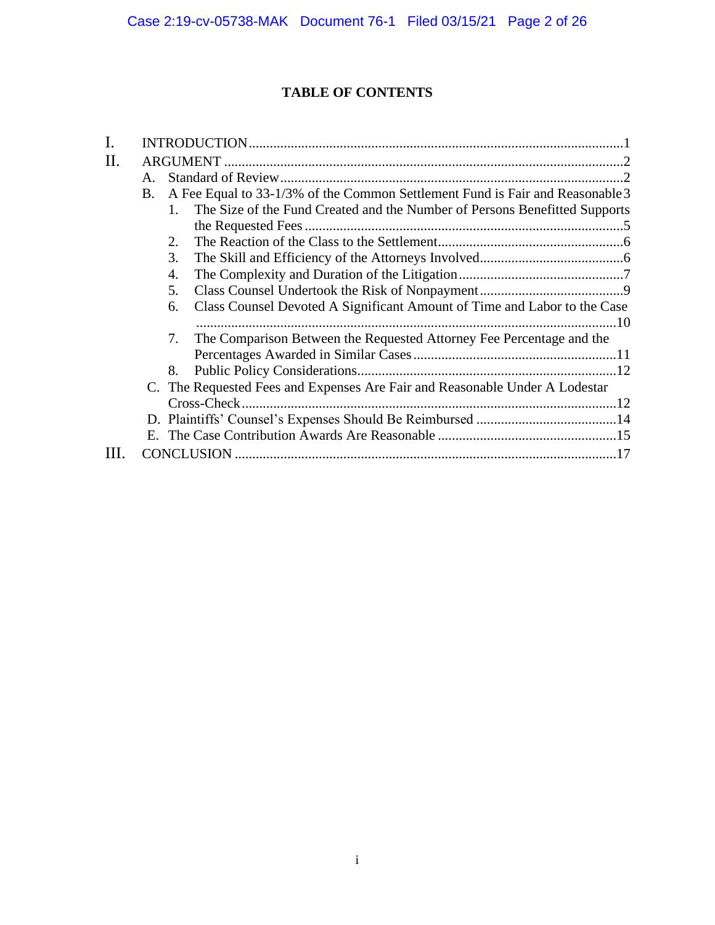# **TABLE OF CONTENTS**

| I. |           |         |                                                                               |  |
|----|-----------|---------|-------------------------------------------------------------------------------|--|
| Π. |           |         |                                                                               |  |
|    | A.        |         |                                                                               |  |
|    | <b>B.</b> |         | A Fee Equal to 33-1/3% of the Common Settlement Fund is Fair and Reasonable 3 |  |
|    |           | $1_{-}$ | The Size of the Fund Created and the Number of Persons Benefitted Supports    |  |
|    |           |         |                                                                               |  |
|    |           | 2.      |                                                                               |  |
|    |           | 3.      |                                                                               |  |
|    |           | 4.      |                                                                               |  |
|    |           | 5.      |                                                                               |  |
|    |           | 6.      | Class Counsel Devoted A Significant Amount of Time and Labor to the Case      |  |
|    |           |         |                                                                               |  |
|    |           | 7.      | The Comparison Between the Requested Attorney Fee Percentage and the          |  |
|    |           |         |                                                                               |  |
|    |           | 8.      |                                                                               |  |
|    |           |         | C. The Requested Fees and Expenses Are Fair and Reasonable Under A Lodestar   |  |
|    |           |         | Cross-Check                                                                   |  |
|    |           |         |                                                                               |  |
|    |           |         |                                                                               |  |
| Ш  |           |         |                                                                               |  |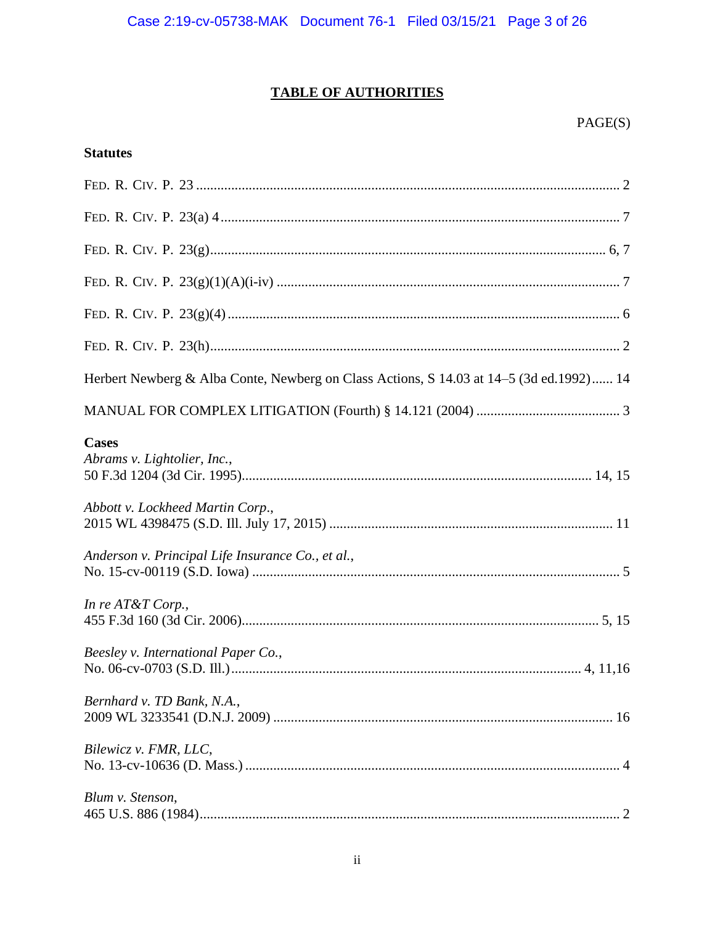# **TABLE OF AUTHORITIES**

# **Statutes**

| Herbert Newberg & Alba Conte, Newberg on Class Actions, S 14.03 at 14–5 (3d ed.1992) 14 |
|-----------------------------------------------------------------------------------------|
|                                                                                         |
| <b>Cases</b><br>Abrams v. Lightolier, Inc.,                                             |
| Abbott v. Lockheed Martin Corp.,                                                        |
| Anderson v. Principal Life Insurance Co., et al.,                                       |
| In re $AT&T$ Corp.,                                                                     |
| Beesley v. International Paper Co.,                                                     |
| Bernhard v. TD Bank, N.A.,                                                              |
| Bilewicz v. FMR, LLC,                                                                   |
| Blum v. Stenson,                                                                        |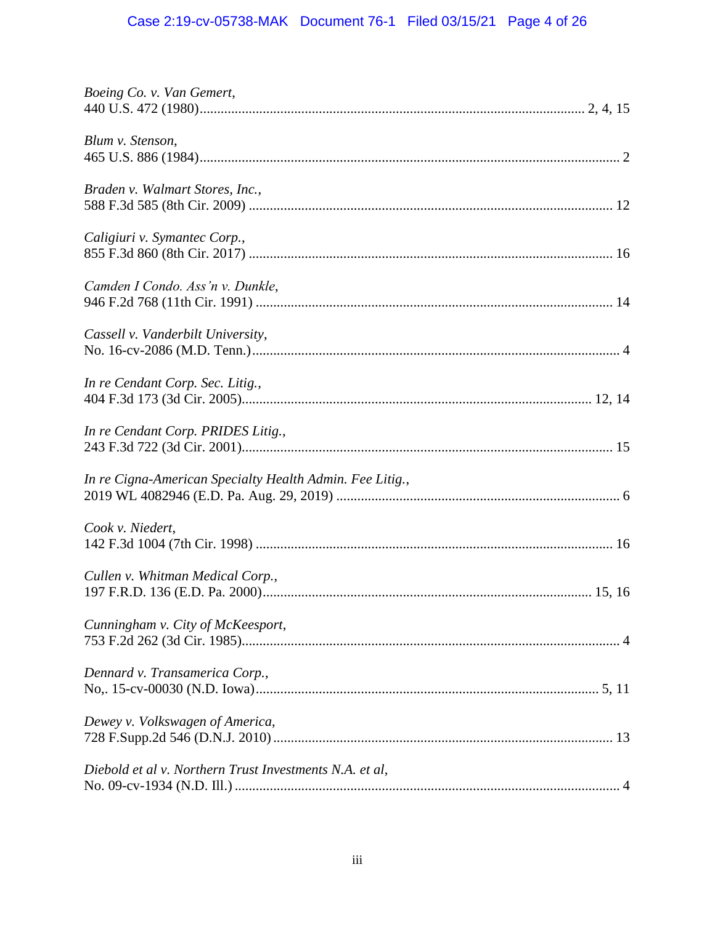# Case 2:19-cv-05738-MAK Document 76-1 Filed 03/15/21 Page 4 of 26

| Boeing Co. v. Van Gemert,                                |
|----------------------------------------------------------|
| Blum v. Stenson,                                         |
| Braden v. Walmart Stores, Inc.,                          |
| Caligiuri v. Symantec Corp.,                             |
| Camden I Condo. Ass'n v. Dunkle,                         |
| Cassell v. Vanderbilt University,                        |
| In re Cendant Corp. Sec. Litig.,                         |
| In re Cendant Corp. PRIDES Litig.,                       |
| In re Cigna-American Specialty Health Admin. Fee Litig., |
| Cook v. Niedert,                                         |
| Cullen v. Whitman Medical Corp.,                         |
| Cunningham v. City of McKeesport,                        |
| Dennard v. Transamerica Corp.,                           |
| Dewey v. Volkswagen of America,                          |
| Diebold et al v. Northern Trust Investments N.A. et al,  |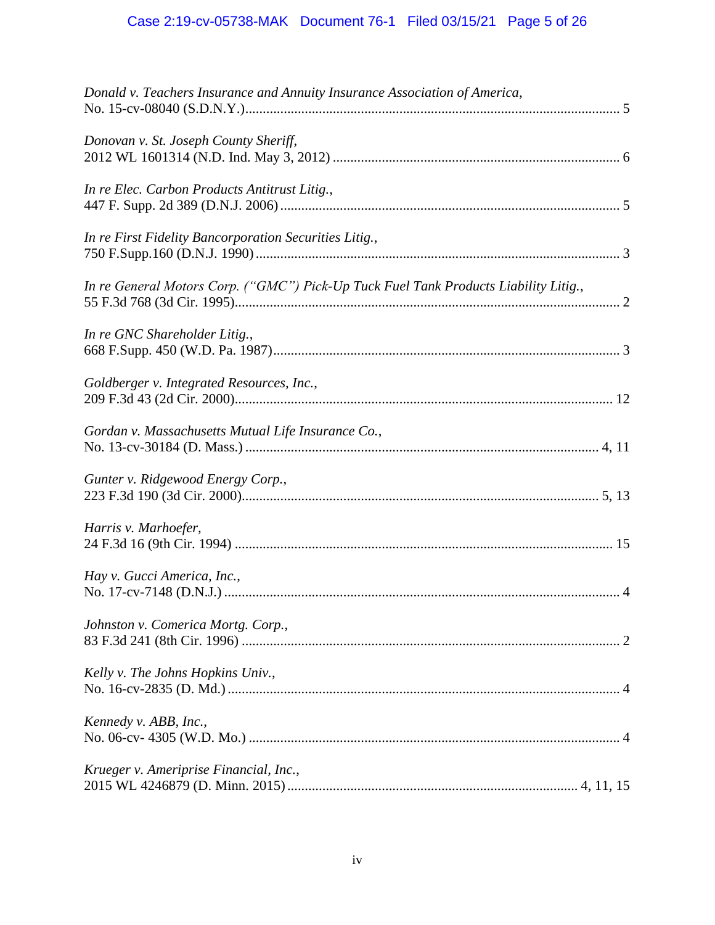| Donald v. Teachers Insurance and Annuity Insurance Association of America,           |
|--------------------------------------------------------------------------------------|
| Donovan v. St. Joseph County Sheriff,                                                |
| In re Elec. Carbon Products Antitrust Litig.,                                        |
| In re First Fidelity Bancorporation Securities Litig.,                               |
| In re General Motors Corp. ("GMC") Pick-Up Tuck Fuel Tank Products Liability Litig., |
| In re GNC Shareholder Litig.,                                                        |
| Goldberger v. Integrated Resources, Inc.,                                            |
| Gordan v. Massachusetts Mutual Life Insurance Co.,                                   |
| Gunter v. Ridgewood Energy Corp.,                                                    |
| Harris v. Marhoefer,                                                                 |
| Hay v. Gucci America, Inc.,                                                          |
| Johnston v. Comerica Mortg. Corp.,                                                   |
| Kelly v. The Johns Hopkins Univ.,                                                    |
| Kennedy v. ABB, Inc.,                                                                |
| Krueger v. Ameriprise Financial, Inc.,                                               |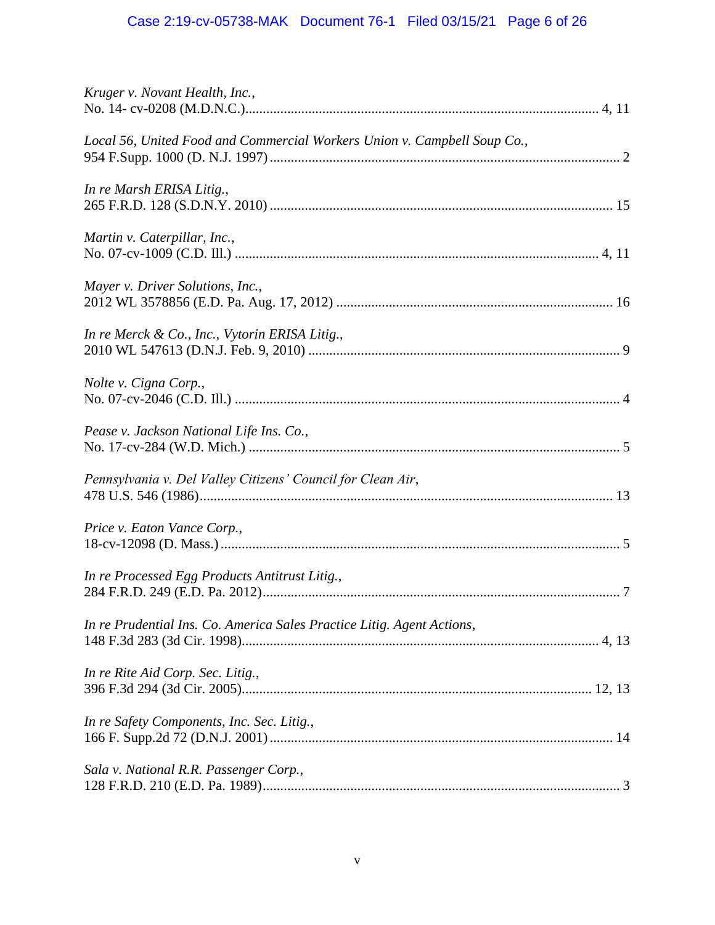# Case 2:19-cv-05738-MAK Document 76-1 Filed 03/15/21 Page 6 of 26

| Kruger v. Novant Health, Inc.,                                           |
|--------------------------------------------------------------------------|
| Local 56, United Food and Commercial Workers Union v. Campbell Soup Co., |
| In re Marsh ERISA Litig.,                                                |
| Martin v. Caterpillar, Inc.,                                             |
| Mayer v. Driver Solutions, Inc.,                                         |
| In re Merck & Co., Inc., Vytorin ERISA Litig.,                           |
| Nolte v. Cigna Corp.,                                                    |
| Pease v. Jackson National Life Ins. Co.,                                 |
| Pennsylvania v. Del Valley Citizens' Council for Clean Air,              |
| Price v. Eaton Vance Corp.,                                              |
| In re Processed Egg Products Antitrust Litig.,                           |
| In re Prudential Ins. Co. America Sales Practice Litig. Agent Actions,   |
| In re Rite Aid Corp. Sec. Litig.,                                        |
| In re Safety Components, Inc. Sec. Litig.,                               |
| Sala v. National R.R. Passenger Corp.,                                   |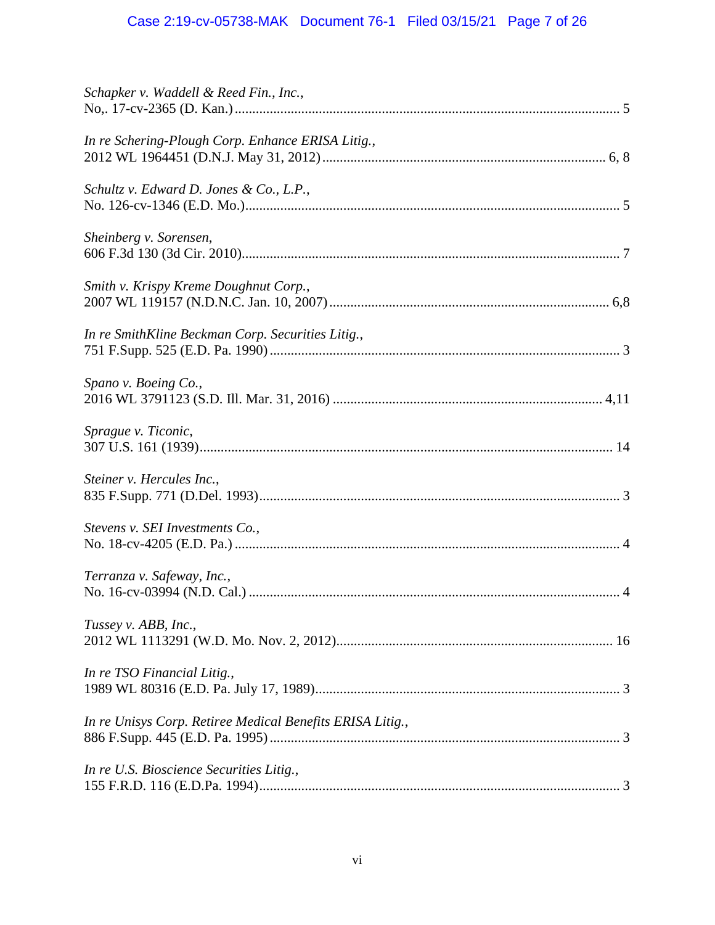# Case 2:19-cv-05738-MAK Document 76-1 Filed 03/15/21 Page 7 of 26

| Schapker v. Waddell & Reed Fin., Inc.,                    |
|-----------------------------------------------------------|
| In re Schering-Plough Corp. Enhance ERISA Litig.,         |
| Schultz v. Edward D. Jones & Co., L.P.,                   |
| Sheinberg v. Sorensen,                                    |
| Smith v. Krispy Kreme Doughnut Corp.,                     |
| In re SmithKline Beckman Corp. Securities Litig.,         |
| Spano v. Boeing Co.,                                      |
| Sprague v. Ticonic,                                       |
| Steiner v. Hercules Inc.,                                 |
| Stevens v. SEI Investments Co.,                           |
| Terranza v. Safeway, Inc.,                                |
| Tussey v. ABB, Inc.,                                      |
| In re TSO Financial Litig.,                               |
| In re Unisys Corp. Retiree Medical Benefits ERISA Litig., |
| In re U.S. Bioscience Securities Litig.,                  |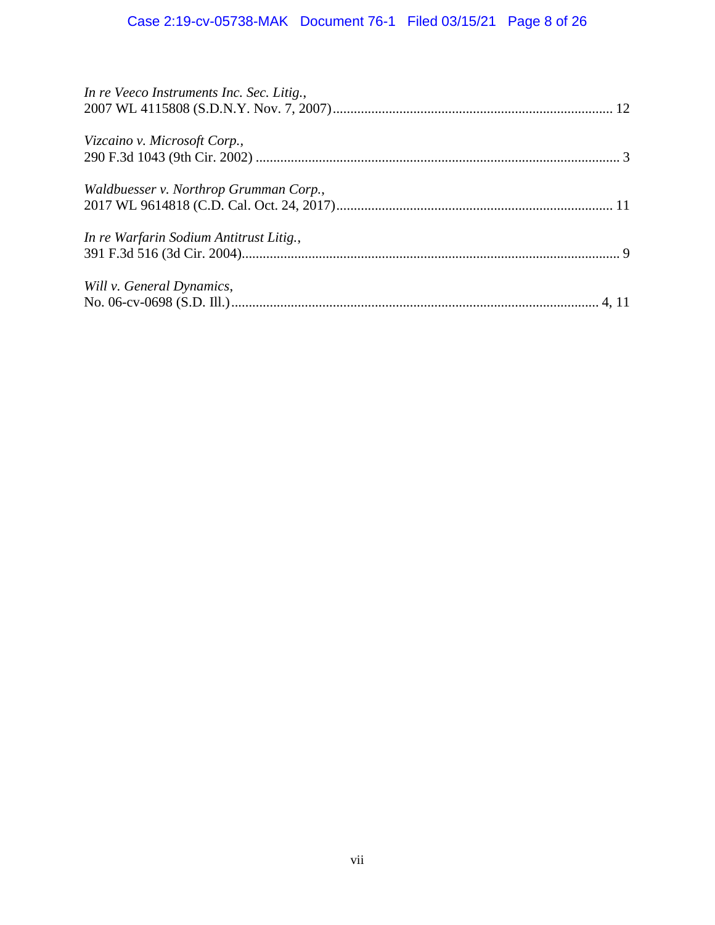# Case 2:19-cv-05738-MAK Document 76-1 Filed 03/15/21 Page 8 of 26

| In re Veeco Instruments Inc. Sec. Litig., |  |
|-------------------------------------------|--|
| Vizcaino v. Microsoft Corp.,              |  |
| Waldbuesser v. Northrop Grumman Corp.,    |  |
| In re Warfarin Sodium Antitrust Litig.,   |  |
| Will v. General Dynamics,                 |  |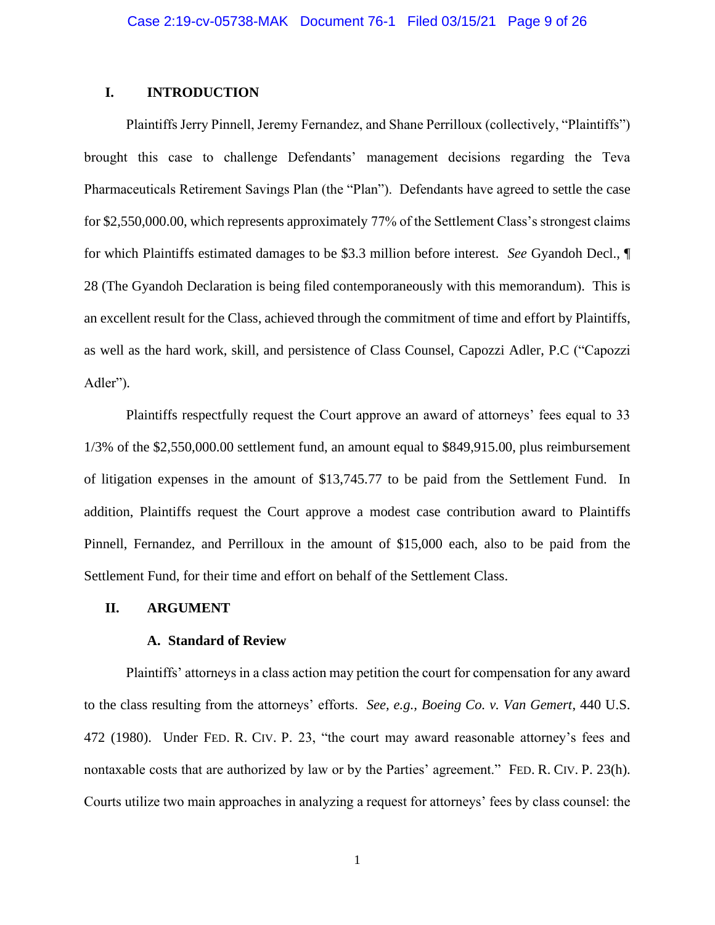# **I. INTRODUCTION**

Plaintiffs Jerry Pinnell, Jeremy Fernandez, and Shane Perrilloux (collectively, "Plaintiffs") brought this case to challenge Defendants' management decisions regarding the Teva Pharmaceuticals Retirement Savings Plan (the "Plan"). Defendants have agreed to settle the case for \$2,550,000.00, which represents approximately 77% of the Settlement Class's strongest claims for which Plaintiffs estimated damages to be \$3.3 million before interest. *See* Gyandoh Decl., ¶ 28 (The Gyandoh Declaration is being filed contemporaneously with this memorandum). This is an excellent result for the Class, achieved through the commitment of time and effort by Plaintiffs, as well as the hard work, skill, and persistence of Class Counsel, Capozzi Adler, P.C ("Capozzi Adler").

Plaintiffs respectfully request the Court approve an award of attorneys' fees equal to 33 1/3% of the \$2,550,000.00 settlement fund, an amount equal to \$849,915.00, plus reimbursement of litigation expenses in the amount of \$13,745.77 to be paid from the Settlement Fund. In addition, Plaintiffs request the Court approve a modest case contribution award to Plaintiffs Pinnell, Fernandez, and Perrilloux in the amount of \$15,000 each, also to be paid from the Settlement Fund, for their time and effort on behalf of the Settlement Class.

### **II. ARGUMENT**

### **A. Standard of Review**

Plaintiffs' attorneys in a class action may petition the court for compensation for any award to the class resulting from the attorneys' efforts. *See, e.g., Boeing Co. v. Van Gemert*, 440 U.S. 472 (1980). Under FED. R. CIV. P. 23, "the court may award reasonable attorney's fees and nontaxable costs that are authorized by law or by the Parties' agreement." FED. R. CIV. P. 23(h). Courts utilize two main approaches in analyzing a request for attorneys' fees by class counsel: the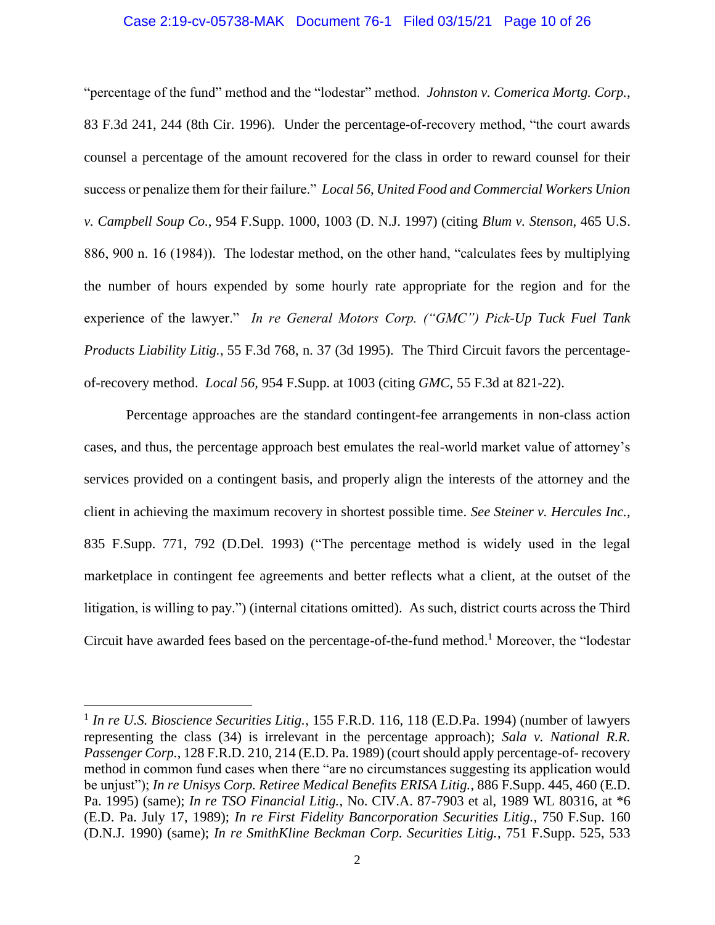## Case 2:19-cv-05738-MAK Document 76-1 Filed 03/15/21 Page 10 of 26

"percentage of the fund" method and the "lodestar" method. *Johnston v. Comerica Mortg. Corp.*, 83 F.3d 241, 244 (8th Cir. 1996). Under the percentage-of-recovery method, "the court awards counsel a percentage of the amount recovered for the class in order to reward counsel for their success or penalize them for their failure." *Local 56, United Food and Commercial Workers Union v. Campbell Soup Co.*, 954 F.Supp. 1000, 1003 (D. N.J. 1997) (citing *Blum v. Stenson*, 465 U.S. 886, 900 n. 16 (1984)). The lodestar method, on the other hand, "calculates fees by multiplying the number of hours expended by some hourly rate appropriate for the region and for the experience of the lawyer." *In re General Motors Corp. ("GMC") Pick-Up Tuck Fuel Tank Products Liability Litig.*, 55 F.3d 768, n. 37 (3d 1995). The Third Circuit favors the percentageof-recovery method. *Local 56,* 954 F.Supp. at 1003 (citing *GMC*, 55 F.3d at 821-22).

Percentage approaches are the standard contingent-fee arrangements in non-class action cases, and thus, the percentage approach best emulates the real-world market value of attorney's services provided on a contingent basis, and properly align the interests of the attorney and the client in achieving the maximum recovery in shortest possible time. *See Steiner v. Hercules Inc.*, 835 F.Supp. 771, 792 (D.Del. 1993) ("The percentage method is widely used in the legal marketplace in contingent fee agreements and better reflects what a client, at the outset of the litigation, is willing to pay.") (internal citations omitted). As such, district courts across the Third Circuit have awarded fees based on the percentage-of-the-fund method.<sup>1</sup> Moreover, the "lodestar"

<sup>&</sup>lt;sup>1</sup> In re U.S. Bioscience Securities Litig., 155 F.R.D. 116, 118 (E.D.Pa. 1994) (number of lawyers representing the class (34) is irrelevant in the percentage approach); *Sala v. National R.R. Passenger Corp.*, 128 F.R.D. 210, 214 (E.D. Pa. 1989) (court should apply percentage-of- recovery method in common fund cases when there "are no circumstances suggesting its application would be unjust"); *In re Unisys Corp. Retiree Medical Benefits ERISA Litig.*, 886 F.Supp. 445, 460 (E.D. Pa. 1995) (same); *In re TSO Financial Litig.*, No. CIV.A. 87-7903 et al, 1989 WL 80316, at \*6 (E.D. Pa. July 17, 1989); *In re First Fidelity Bancorporation Securities Litig.*, 750 F.Sup. 160 (D.N.J. 1990) (same); *In re SmithKline Beckman Corp. Securities Litig.*, 751 F.Supp. 525, 533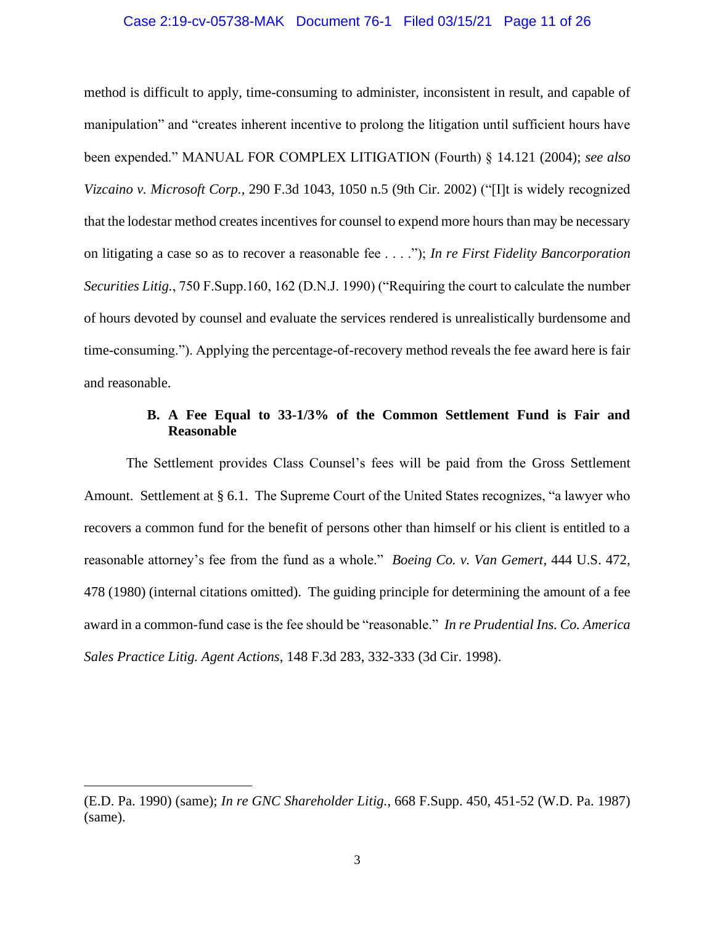## Case 2:19-cv-05738-MAK Document 76-1 Filed 03/15/21 Page 11 of 26

method is difficult to apply, time-consuming to administer, inconsistent in result, and capable of manipulation" and "creates inherent incentive to prolong the litigation until sufficient hours have been expended." MANUAL FOR COMPLEX LITIGATION (Fourth) § 14.121 (2004); *see also Vizcaino v. Microsoft Corp.,* 290 F.3d 1043, 1050 n.5 (9th Cir. 2002) ("[I]t is widely recognized that the lodestar method creates incentives for counsel to expend more hours than may be necessary on litigating a case so as to recover a reasonable fee . . . ."); *In re First Fidelity Bancorporation Securities Litig.*, 750 F.Supp.160, 162 (D.N.J. 1990) ("Requiring the court to calculate the number of hours devoted by counsel and evaluate the services rendered is unrealistically burdensome and time-consuming."). Applying the percentage-of-recovery method reveals the fee award here is fair and reasonable.

# **B. A Fee Equal to 33-1/3% of the Common Settlement Fund is Fair and Reasonable**

The Settlement provides Class Counsel's fees will be paid from the Gross Settlement Amount. Settlement at § 6.1. The Supreme Court of the United States recognizes, "a lawyer who recovers a common fund for the benefit of persons other than himself or his client is entitled to a reasonable attorney's fee from the fund as a whole." *Boeing Co. v. Van Gemert*, 444 U.S. 472, 478 (1980) (internal citations omitted). The guiding principle for determining the amount of a fee award in a common-fund case is the fee should be "reasonable." *In re Prudential Ins. Co. America Sales Practice Litig. Agent Actions*, 148 F.3d 283, 332-333 (3d Cir. 1998).

<sup>(</sup>E.D. Pa. 1990) (same); *In re GNC Shareholder Litig.*, 668 F.Supp. 450, 451-52 (W.D. Pa. 1987) (same).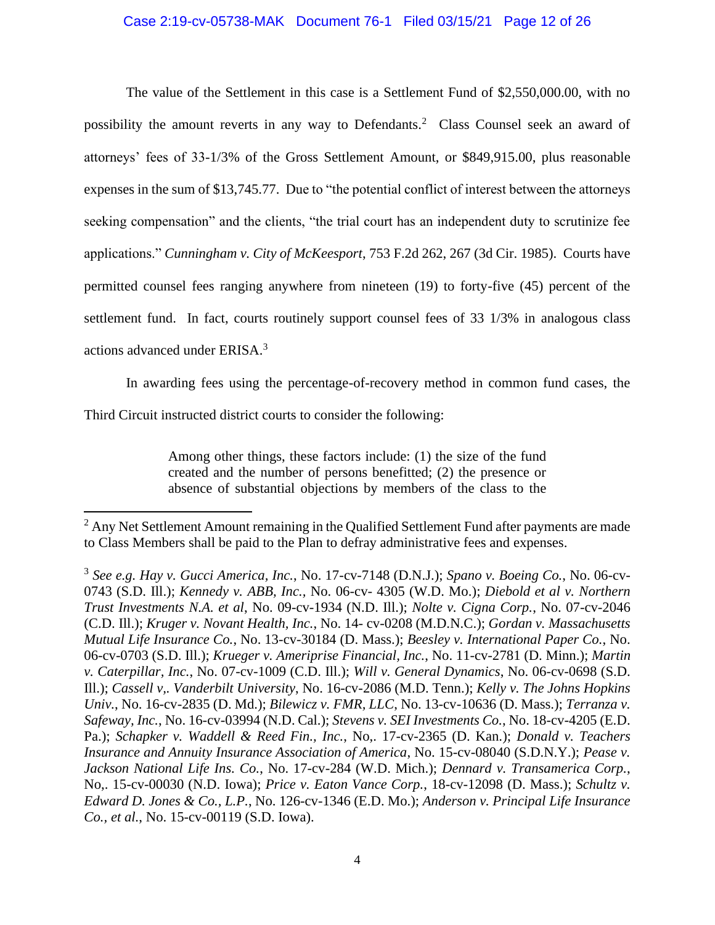# Case 2:19-cv-05738-MAK Document 76-1 Filed 03/15/21 Page 12 of 26

The value of the Settlement in this case is a Settlement Fund of \$2,550,000.00, with no possibility the amount reverts in any way to Defendants.<sup>2</sup> Class Counsel seek an award of attorneys' fees of 33-1/3% of the Gross Settlement Amount, or \$849,915.00, plus reasonable expenses in the sum of \$13,745.77. Due to "the potential conflict of interest between the attorneys seeking compensation" and the clients, "the trial court has an independent duty to scrutinize fee applications." *Cunningham v. City of McKeesport*, 753 F.2d 262, 267 (3d Cir. 1985). Courts have permitted counsel fees ranging anywhere from nineteen (19) to forty-five (45) percent of the settlement fund. In fact, courts routinely support counsel fees of 33 1/3% in analogous class actions advanced under ERISA.<sup>3</sup>

In awarding fees using the percentage-of-recovery method in common fund cases, the

Third Circuit instructed district courts to consider the following:

Among other things, these factors include: (1) the size of the fund created and the number of persons benefitted; (2) the presence or absence of substantial objections by members of the class to the

<sup>&</sup>lt;sup>2</sup> Any Net Settlement Amount remaining in the Qualified Settlement Fund after payments are made to Class Members shall be paid to the Plan to defray administrative fees and expenses.

<sup>3</sup> *See e.g. Hay v. Gucci America, Inc.*, No. 17-cv-7148 (D.N.J.); *Spano v. Boeing Co.*, No. 06-cv-0743 (S.D. Ill.); *Kennedy v. ABB, Inc.,* No. 06-cv- 4305 (W.D. Mo.); *Diebold et al v. Northern Trust Investments N.A. et al*, No. 09-cv-1934 (N.D. Ill.); *Nolte v. Cigna Corp.*, No. 07-cv-2046 (C.D. Ill.); *Kruger v. Novant Health, Inc.*, No. 14- cv-0208 (M.D.N.C.); *Gordan v. Massachusetts Mutual Life Insurance Co.*, No. 13-cv-30184 (D. Mass.); *Beesley v. International Paper Co.*, No. 06-cv-0703 (S.D. Ill.); *Krueger v. Ameriprise Financial, Inc.*, No. 11-cv-2781 (D. Minn.); *Martin v. Caterpillar, Inc.*, No. 07-cv-1009 (C.D. Ill.); *Will v. General Dynamics*, No. 06-cv-0698 (S.D. Ill.); *Cassell v,. Vanderbilt University*, No. 16-cv-2086 (M.D. Tenn.); *Kelly v. The Johns Hopkins Univ.*, No. 16-cv-2835 (D. Md.); *Bilewicz v. FMR, LLC*, No. 13-cv-10636 (D. Mass.); *Terranza v. Safeway, Inc.*, No. 16-cv-03994 (N.D. Cal.); *Stevens v. SEI Investments Co.*, No. 18-cv-4205 (E.D. Pa.); *Schapker v. Waddell & Reed Fin., Inc.*, No,. 17-cv-2365 (D. Kan.); *Donald v. Teachers Insurance and Annuity Insurance Association of America*, No. 15-cv-08040 (S.D.N.Y.); *Pease v. Jackson National Life Ins. Co.*, No. 17-cv-284 (W.D. Mich.); *Dennard v. Transamerica Corp.*, No,. 15-cv-00030 (N.D. Iowa); *Price v. Eaton Vance Corp.*, 18-cv-12098 (D. Mass.); *Schultz v. Edward D. Jones & Co., L.P.*, No. 126-cv-1346 (E.D. Mo.); *Anderson v. Principal Life Insurance Co., et al.*, No. 15-cv-00119 (S.D. Iowa).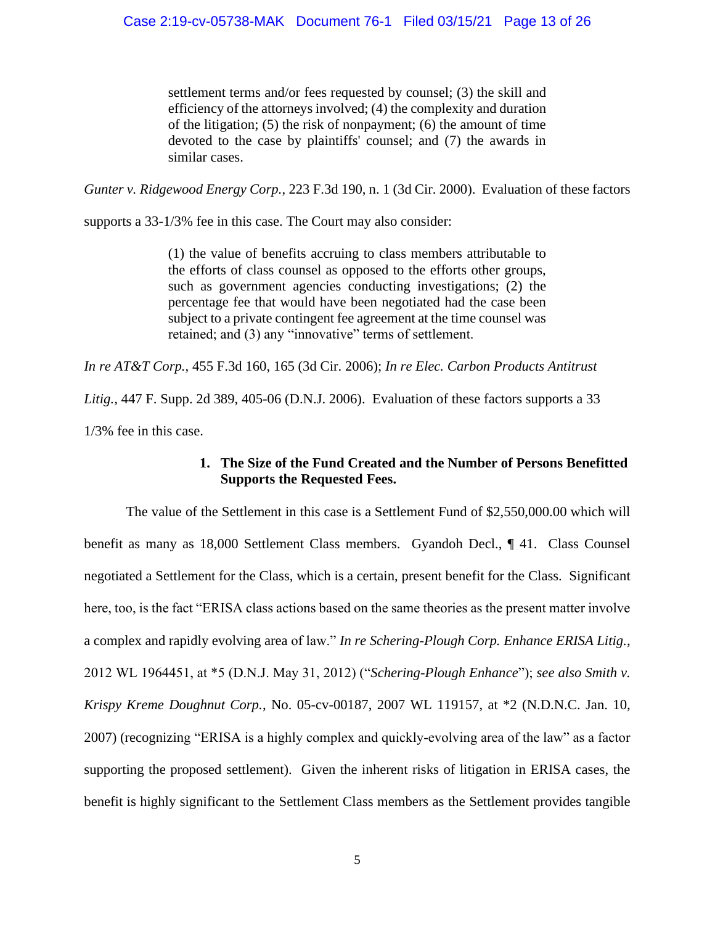settlement terms and/or fees requested by counsel; (3) the skill and efficiency of the attorneys involved; (4) the complexity and duration of the litigation; (5) the risk of nonpayment; (6) the amount of time devoted to the case by plaintiffs' counsel; and (7) the awards in similar cases.

*Gunter v. Ridgewood Energy Corp.*, 223 F.3d 190, n. 1 (3d Cir. 2000). Evaluation of these factors

supports a 33-1/3% fee in this case. The Court may also consider:

(1) the value of benefits accruing to class members attributable to the efforts of class counsel as opposed to the efforts other groups, such as government agencies conducting investigations; (2) the percentage fee that would have been negotiated had the case been subject to a private contingent fee agreement at the time counsel was retained; and (3) any "innovative" terms of settlement.

*In re AT&T Corp.*, 455 F.3d 160, 165 (3d Cir. 2006); *In re Elec. Carbon Products Antitrust* 

*Litig.*, 447 F. Supp. 2d 389, 405-06 (D.N.J. 2006). Evaluation of these factors supports a 33

1/3% fee in this case.

# **1. The Size of the Fund Created and the Number of Persons Benefitted Supports the Requested Fees.**

The value of the Settlement in this case is a Settlement Fund of \$2,550,000.00 which will benefit as many as 18,000 Settlement Class members. Gyandoh Decl., ¶ 41. Class Counsel negotiated a Settlement for the Class, which is a certain, present benefit for the Class. Significant here, too, is the fact "ERISA class actions based on the same theories as the present matter involve a complex and rapidly evolving area of law." *In re Schering-Plough Corp. Enhance ERISA Litig.*, 2012 WL 1964451, at \*5 (D.N.J. May 31, 2012) ("*Schering-Plough Enhance*"); *see also Smith v. Krispy Kreme Doughnut Corp.*, No. 05-cv-00187, 2007 WL 119157, at \*2 (N.D.N.C. Jan. 10, 2007) (recognizing "ERISA is a highly complex and quickly-evolving area of the law" as a factor supporting the proposed settlement). Given the inherent risks of litigation in ERISA cases, the benefit is highly significant to the Settlement Class members as the Settlement provides tangible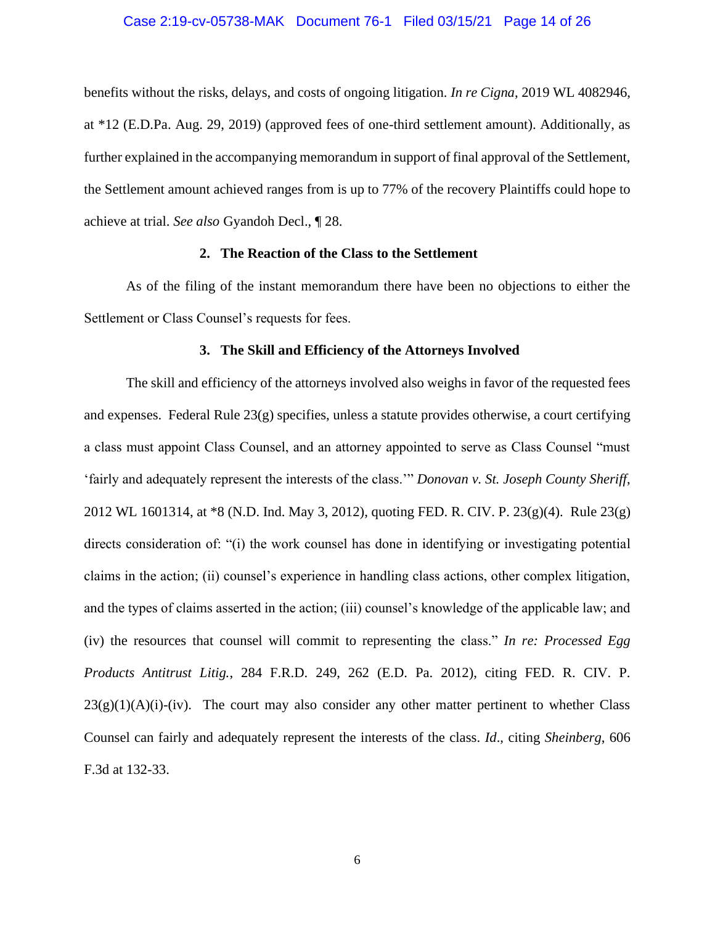## Case 2:19-cv-05738-MAK Document 76-1 Filed 03/15/21 Page 14 of 26

benefits without the risks, delays, and costs of ongoing litigation. *In re Cigna*, 2019 WL 4082946, at \*12 (E.D.Pa. Aug. 29, 2019) (approved fees of one-third settlement amount). Additionally, as further explained in the accompanying memorandum in support of final approval of the Settlement, the Settlement amount achieved ranges from is up to 77% of the recovery Plaintiffs could hope to achieve at trial. *See also* Gyandoh Decl., ¶ 28.

## **2. The Reaction of the Class to the Settlement**

As of the filing of the instant memorandum there have been no objections to either the Settlement or Class Counsel's requests for fees.

### **3. The Skill and Efficiency of the Attorneys Involved**

The skill and efficiency of the attorneys involved also weighs in favor of the requested fees and expenses. Federal Rule  $23(g)$  specifies, unless a statute provides otherwise, a court certifying a class must appoint Class Counsel, and an attorney appointed to serve as Class Counsel "must 'fairly and adequately represent the interests of the class.'" *Donovan v. St. Joseph County Sheriff*, 2012 WL 1601314, at \*8 (N.D. Ind. May 3, 2012), quoting FED. R. CIV. P. 23(g)(4). Rule 23(g) directs consideration of: "(i) the work counsel has done in identifying or investigating potential claims in the action; (ii) counsel's experience in handling class actions, other complex litigation, and the types of claims asserted in the action; (iii) counsel's knowledge of the applicable law; and (iv) the resources that counsel will commit to representing the class." *In re: Processed Egg Products Antitrust Litig.*, 284 F.R.D. 249, 262 (E.D. Pa. 2012), citing FED. R. CIV. P.  $23(g)(1)(A)(i)-(iv)$ . The court may also consider any other matter pertinent to whether Class Counsel can fairly and adequately represent the interests of the class. *Id*., citing *Sheinberg*, 606 F.3d at 132-33.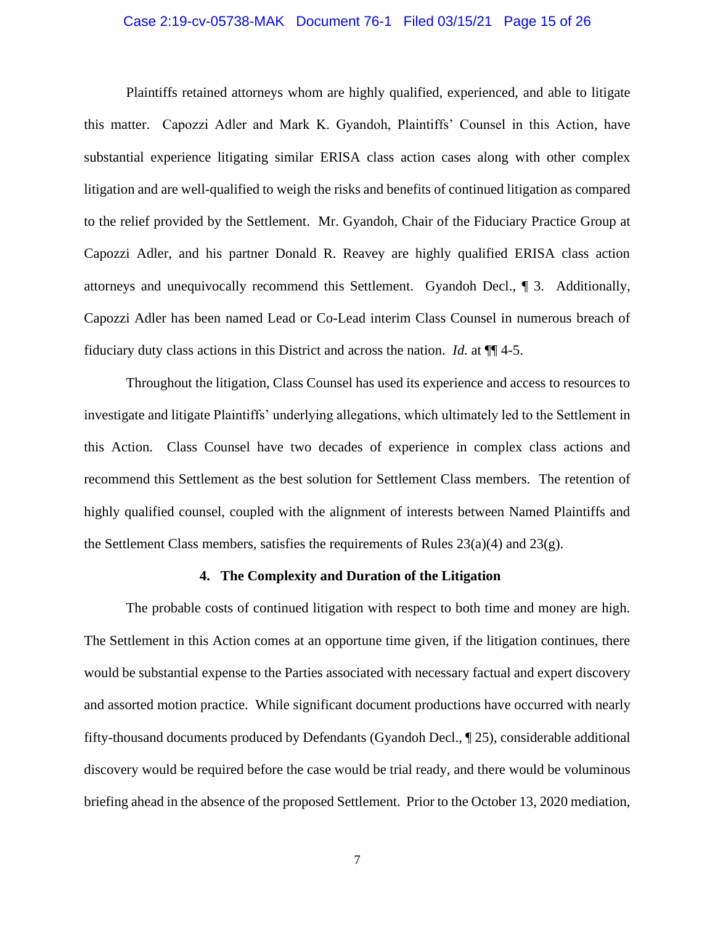## Case 2:19-cv-05738-MAK Document 76-1 Filed 03/15/21 Page 15 of 26

Plaintiffs retained attorneys whom are highly qualified, experienced, and able to litigate this matter. Capozzi Adler and Mark K. Gyandoh, Plaintiffs' Counsel in this Action, have substantial experience litigating similar ERISA class action cases along with other complex litigation and are well-qualified to weigh the risks and benefits of continued litigation as compared to the relief provided by the Settlement. Mr. Gyandoh, Chair of the Fiduciary Practice Group at Capozzi Adler, and his partner Donald R. Reavey are highly qualified ERISA class action attorneys and unequivocally recommend this Settlement. Gyandoh Decl., ¶ 3. Additionally, Capozzi Adler has been named Lead or Co-Lead interim Class Counsel in numerous breach of fiduciary duty class actions in this District and across the nation. *Id.* at ¶¶ 4-5.

Throughout the litigation, Class Counsel has used its experience and access to resources to investigate and litigate Plaintiffs' underlying allegations, which ultimately led to the Settlement in this Action. Class Counsel have two decades of experience in complex class actions and recommend this Settlement as the best solution for Settlement Class members. The retention of highly qualified counsel, coupled with the alignment of interests between Named Plaintiffs and the Settlement Class members, satisfies the requirements of Rules  $23(a)(4)$  and  $23(g)$ .

#### **4. The Complexity and Duration of the Litigation**

The probable costs of continued litigation with respect to both time and money are high. The Settlement in this Action comes at an opportune time given, if the litigation continues, there would be substantial expense to the Parties associated with necessary factual and expert discovery and assorted motion practice. While significant document productions have occurred with nearly fifty-thousand documents produced by Defendants (Gyandoh Decl., ¶ 25), considerable additional discovery would be required before the case would be trial ready, and there would be voluminous briefing ahead in the absence of the proposed Settlement. Prior to the October 13, 2020 mediation,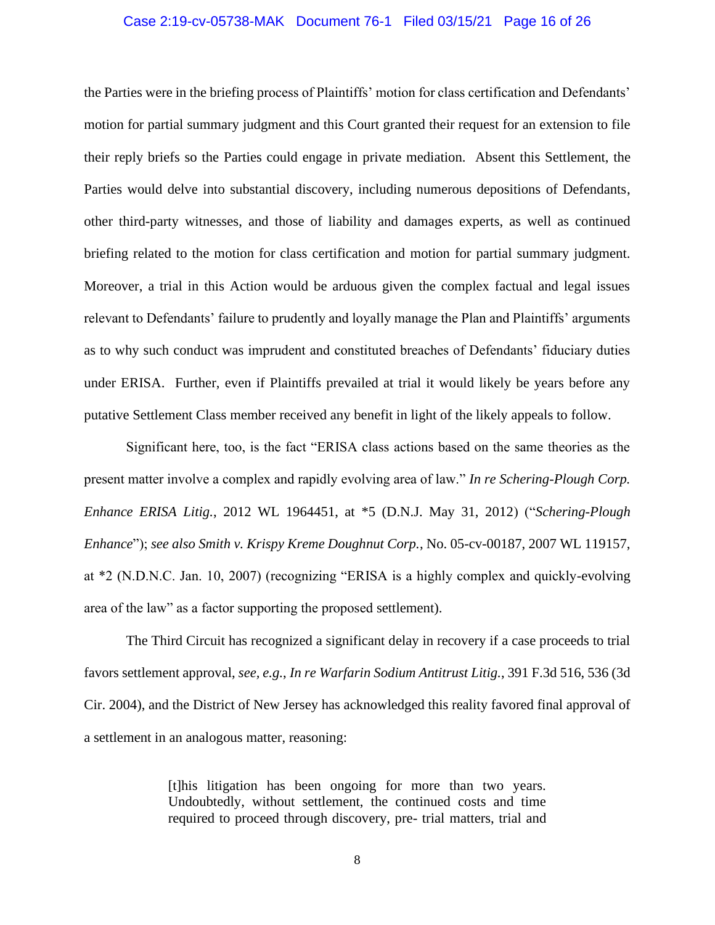## Case 2:19-cv-05738-MAK Document 76-1 Filed 03/15/21 Page 16 of 26

the Parties were in the briefing process of Plaintiffs' motion for class certification and Defendants' motion for partial summary judgment and this Court granted their request for an extension to file their reply briefs so the Parties could engage in private mediation. Absent this Settlement, the Parties would delve into substantial discovery, including numerous depositions of Defendants, other third-party witnesses, and those of liability and damages experts, as well as continued briefing related to the motion for class certification and motion for partial summary judgment. Moreover, a trial in this Action would be arduous given the complex factual and legal issues relevant to Defendants' failure to prudently and loyally manage the Plan and Plaintiffs' arguments as to why such conduct was imprudent and constituted breaches of Defendants' fiduciary duties under ERISA. Further, even if Plaintiffs prevailed at trial it would likely be years before any putative Settlement Class member received any benefit in light of the likely appeals to follow.

Significant here, too, is the fact "ERISA class actions based on the same theories as the present matter involve a complex and rapidly evolving area of law." *In re Schering-Plough Corp. Enhance ERISA Litig.*, 2012 WL 1964451, at \*5 (D.N.J. May 31, 2012) ("*Schering-Plough Enhance*"); *see also Smith v. Krispy Kreme Doughnut Corp.*, No. 05-cv-00187, 2007 WL 119157, at \*2 (N.D.N.C. Jan. 10, 2007) (recognizing "ERISA is a highly complex and quickly-evolving area of the law" as a factor supporting the proposed settlement).

The Third Circuit has recognized a significant delay in recovery if a case proceeds to trial favors settlement approval, *see, e.g.*, *In re Warfarin Sodium Antitrust Litig.*, 391 F.3d 516, 536 (3d Cir. 2004), and the District of New Jersey has acknowledged this reality favored final approval of a settlement in an analogous matter, reasoning:

> [t]his litigation has been ongoing for more than two years. Undoubtedly, without settlement, the continued costs and time required to proceed through discovery, pre- trial matters, trial and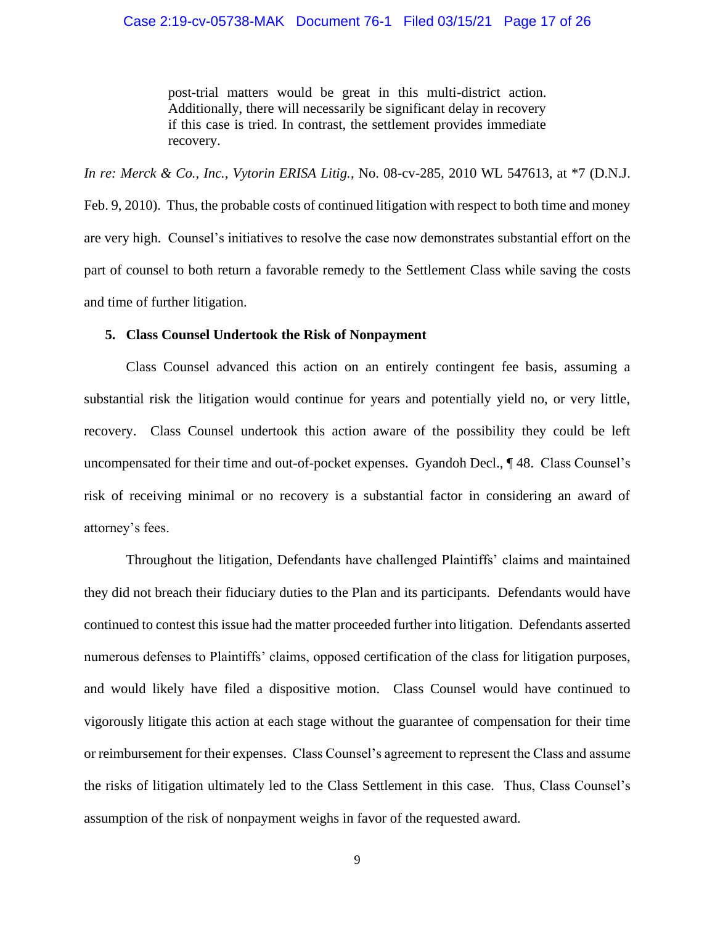## Case 2:19-cv-05738-MAK Document 76-1 Filed 03/15/21 Page 17 of 26

post-trial matters would be great in this multi-district action. Additionally, there will necessarily be significant delay in recovery if this case is tried. In contrast, the settlement provides immediate recovery.

*In re: Merck & Co., Inc., Vytorin ERISA Litig.*, No. 08-cv-285, 2010 WL 547613, at \*7 (D.N.J. Feb. 9, 2010). Thus, the probable costs of continued litigation with respect to both time and money are very high. Counsel's initiatives to resolve the case now demonstrates substantial effort on the part of counsel to both return a favorable remedy to the Settlement Class while saving the costs and time of further litigation.

## **5. Class Counsel Undertook the Risk of Nonpayment**

Class Counsel advanced this action on an entirely contingent fee basis, assuming a substantial risk the litigation would continue for years and potentially yield no, or very little, recovery. Class Counsel undertook this action aware of the possibility they could be left uncompensated for their time and out-of-pocket expenses. Gyandoh Decl., ¶ 48. Class Counsel's risk of receiving minimal or no recovery is a substantial factor in considering an award of attorney's fees.

Throughout the litigation, Defendants have challenged Plaintiffs' claims and maintained they did not breach their fiduciary duties to the Plan and its participants. Defendants would have continued to contest this issue had the matter proceeded further into litigation. Defendants asserted numerous defenses to Plaintiffs' claims, opposed certification of the class for litigation purposes, and would likely have filed a dispositive motion. Class Counsel would have continued to vigorously litigate this action at each stage without the guarantee of compensation for their time or reimbursement for their expenses. Class Counsel's agreement to represent the Class and assume the risks of litigation ultimately led to the Class Settlement in this case. Thus, Class Counsel's assumption of the risk of nonpayment weighs in favor of the requested award.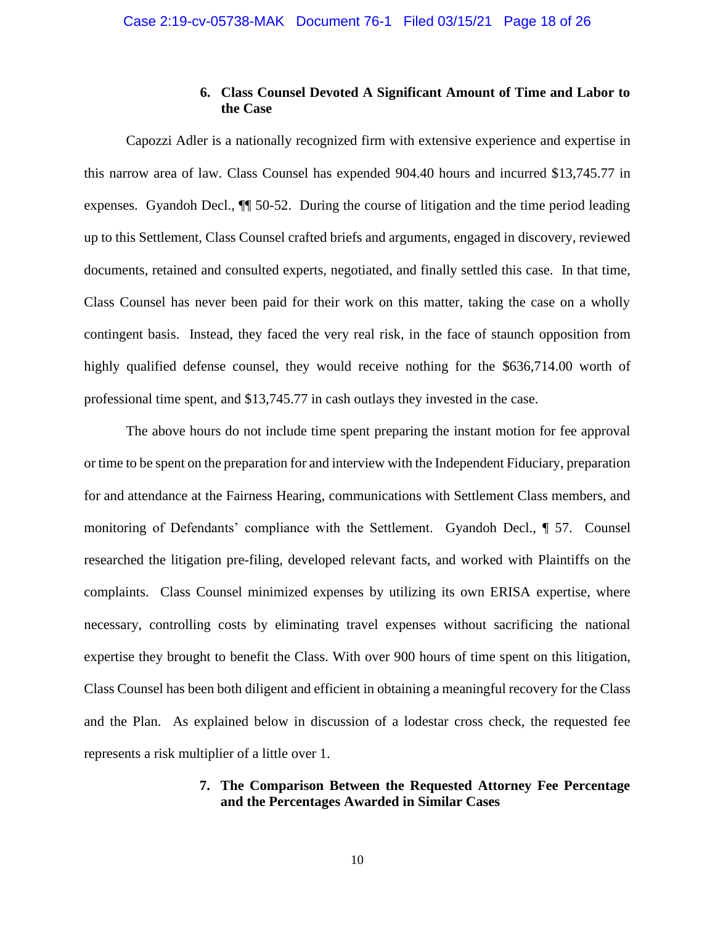# **6. Class Counsel Devoted A Significant Amount of Time and Labor to the Case**

Capozzi Adler is a nationally recognized firm with extensive experience and expertise in this narrow area of law. Class Counsel has expended 904.40 hours and incurred \$13,745.77 in expenses. Gyandoh Decl., ¶¶ 50-52. During the course of litigation and the time period leading up to this Settlement, Class Counsel crafted briefs and arguments, engaged in discovery, reviewed documents, retained and consulted experts, negotiated, and finally settled this case. In that time, Class Counsel has never been paid for their work on this matter, taking the case on a wholly contingent basis. Instead, they faced the very real risk, in the face of staunch opposition from highly qualified defense counsel, they would receive nothing for the \$636,714.00 worth of professional time spent, and \$13,745.77 in cash outlays they invested in the case.

The above hours do not include time spent preparing the instant motion for fee approval or time to be spent on the preparation for and interview with the Independent Fiduciary, preparation for and attendance at the Fairness Hearing, communications with Settlement Class members, and monitoring of Defendants' compliance with the Settlement. Gyandoh Decl., ¶ 57. Counsel researched the litigation pre-filing, developed relevant facts, and worked with Plaintiffs on the complaints. Class Counsel minimized expenses by utilizing its own ERISA expertise, where necessary, controlling costs by eliminating travel expenses without sacrificing the national expertise they brought to benefit the Class. With over 900 hours of time spent on this litigation, Class Counsel has been both diligent and efficient in obtaining a meaningful recovery for the Class and the Plan. As explained below in discussion of a lodestar cross check, the requested fee represents a risk multiplier of a little over 1.

# **7. The Comparison Between the Requested Attorney Fee Percentage and the Percentages Awarded in Similar Cases**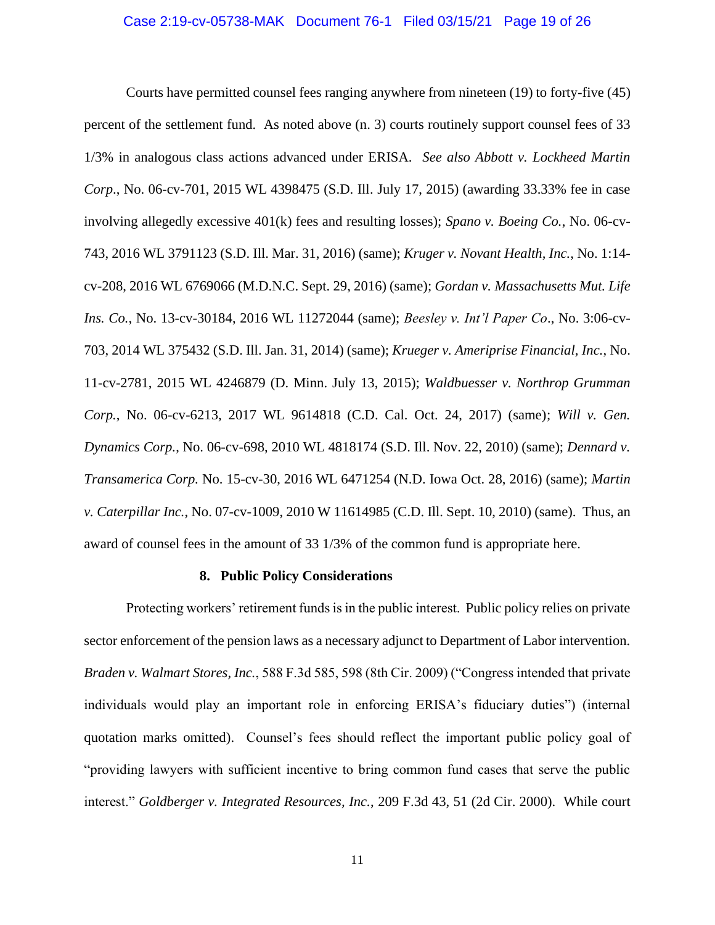## Case 2:19-cv-05738-MAK Document 76-1 Filed 03/15/21 Page 19 of 26

Courts have permitted counsel fees ranging anywhere from nineteen (19) to forty-five (45) percent of the settlement fund. As noted above (n. 3) courts routinely support counsel fees of 33 1/3% in analogous class actions advanced under ERISA. *See also Abbott v. Lockheed Martin Corp*., No. 06-cv-701, 2015 WL 4398475 (S.D. Ill. July 17, 2015) (awarding 33.33% fee in case involving allegedly excessive 401(k) fees and resulting losses); *Spano v. Boeing Co.*, No. 06-cv-743, 2016 WL 3791123 (S.D. Ill. Mar. 31, 2016) (same); *Kruger v. Novant Health, Inc.*, No. 1:14 cv-208, 2016 WL 6769066 (M.D.N.C. Sept. 29, 2016) (same); *Gordan v. Massachusetts Mut. Life Ins. Co.*, No. 13-cv-30184, 2016 WL 11272044 (same); *Beesley v. Int'l Paper Co*., No. 3:06-cv-703, 2014 WL 375432 (S.D. Ill. Jan. 31, 2014) (same); *Krueger v. Ameriprise Financial, Inc.*, No. 11-cv-2781, 2015 WL 4246879 (D. Minn. July 13, 2015); *Waldbuesser v. Northrop Grumman Corp.*, No. 06-cv-6213, 2017 WL 9614818 (C.D. Cal. Oct. 24, 2017) (same); *Will v. Gen. Dynamics Corp.*, No. 06-cv-698, 2010 WL 4818174 (S.D. Ill. Nov. 22, 2010) (same); *Dennard v. Transamerica Corp.* No. 15-cv-30, 2016 WL 6471254 (N.D. Iowa Oct. 28, 2016) (same); *Martin v. Caterpillar Inc.*, No. 07-cv-1009, 2010 W 11614985 (C.D. Ill. Sept. 10, 2010) (same). Thus, an award of counsel fees in the amount of 33 1/3% of the common fund is appropriate here.

## **8. Public Policy Considerations**

Protecting workers' retirement funds is in the public interest. Public policy relies on private sector enforcement of the pension laws as a necessary adjunct to Department of Labor intervention. *Braden v. Walmart Stores, Inc.*, 588 F.3d 585, 598 (8th Cir. 2009) ("Congress intended that private individuals would play an important role in enforcing ERISA's fiduciary duties") (internal quotation marks omitted). Counsel's fees should reflect the important public policy goal of "providing lawyers with sufficient incentive to bring common fund cases that serve the public interest." *Goldberger v. Integrated Resources, Inc.*, 209 F.3d 43, 51 (2d Cir. 2000). While court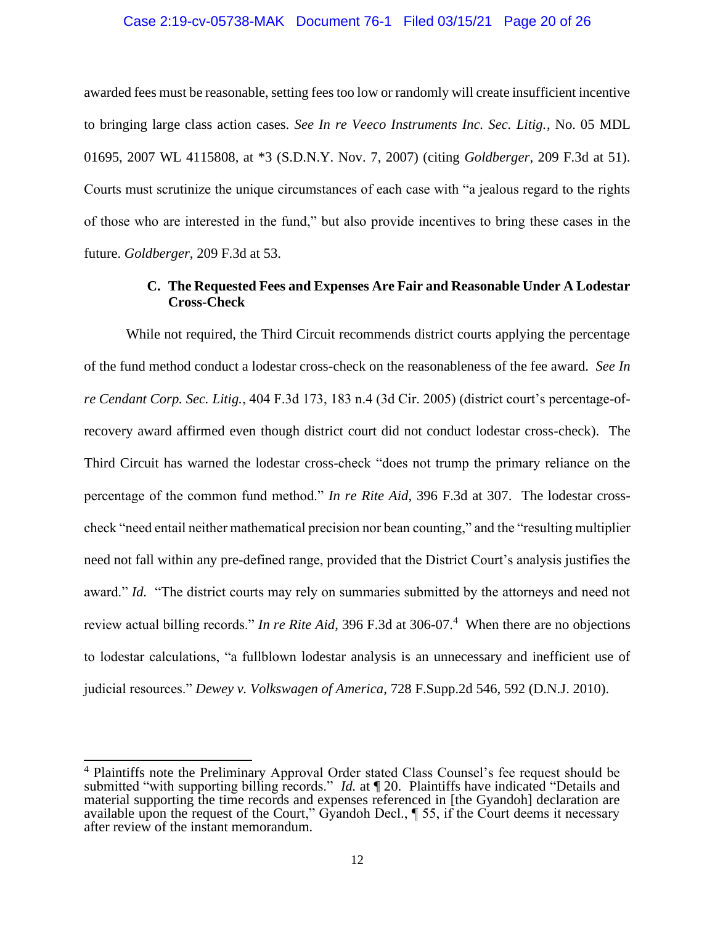## Case 2:19-cv-05738-MAK Document 76-1 Filed 03/15/21 Page 20 of 26

awarded fees must be reasonable, setting fees too low or randomly will create insufficient incentive to bringing large class action cases. *See In re Veeco Instruments Inc. Sec. Litig.*, No. 05 MDL 01695, 2007 WL 4115808, at \*3 (S.D.N.Y. Nov. 7, 2007) (citing *Goldberger*, 209 F.3d at 51). Courts must scrutinize the unique circumstances of each case with "a jealous regard to the rights of those who are interested in the fund," but also provide incentives to bring these cases in the future. *Goldberger*, 209 F.3d at 53.

# **C. The Requested Fees and Expenses Are Fair and Reasonable Under A Lodestar Cross-Check**

While not required, the Third Circuit recommends district courts applying the percentage of the fund method conduct a lodestar cross-check on the reasonableness of the fee award. *See In re Cendant Corp. Sec. Litig.*, 404 F.3d 173, 183 n.4 (3d Cir. 2005) (district court's percentage-ofrecovery award affirmed even though district court did not conduct lodestar cross-check). The Third Circuit has warned the lodestar cross-check "does not trump the primary reliance on the percentage of the common fund method." *In re Rite Aid*, 396 F.3d at 307. The lodestar crosscheck "need entail neither mathematical precision nor bean counting," and the "resulting multiplier need not fall within any pre-defined range, provided that the District Court's analysis justifies the award." *Id.* "The district courts may rely on summaries submitted by the attorneys and need not review actual billing records." *In re Rite Aid*, 396 F.3d at 306-07.<sup>4</sup> When there are no objections to lodestar calculations, "a fullblown lodestar analysis is an unnecessary and inefficient use of judicial resources." *Dewey v. Volkswagen of America*, 728 F.Supp.2d 546, 592 (D.N.J. 2010).

<sup>&</sup>lt;sup>4</sup> Plaintiffs note the Preliminary Approval Order stated Class Counsel's fee request should be submitted "with supporting billing records." *Id.* at  $\P$  20. Plaintiffs have indicated "Details and material supporting the time records and expenses referenced in [the Gyandoh] declaration are available upon the request of the Court," Gyandoh Decl., ¶ 55, if the Court deems it necessary after review of the instant memorandum.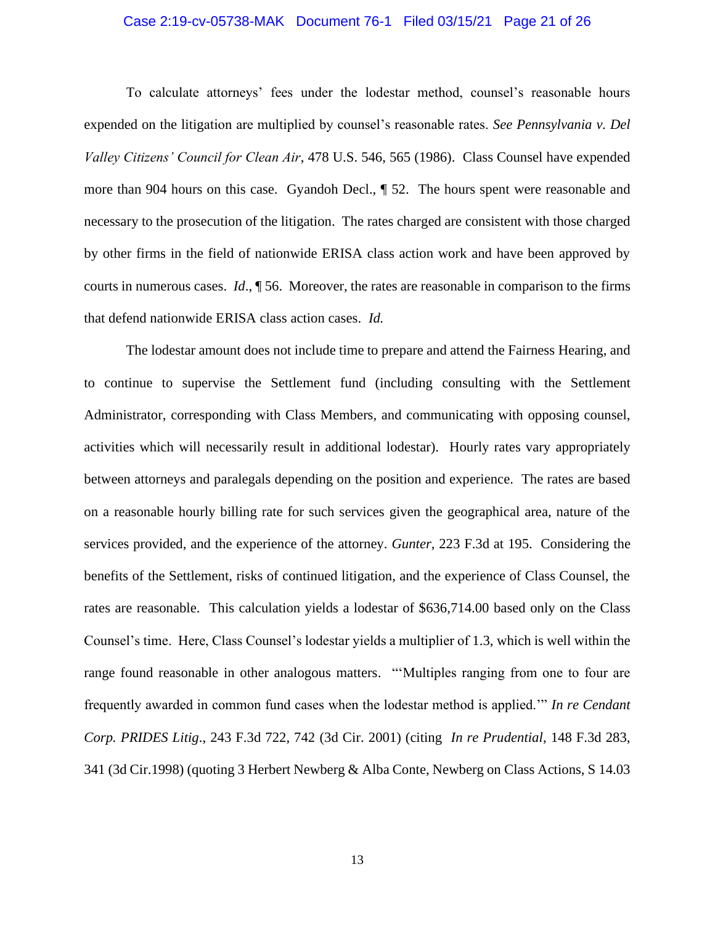## Case 2:19-cv-05738-MAK Document 76-1 Filed 03/15/21 Page 21 of 26

To calculate attorneys' fees under the lodestar method, counsel's reasonable hours expended on the litigation are multiplied by counsel's reasonable rates. *See Pennsylvania v. Del Valley Citizens' Council for Clean Air*, 478 U.S. 546, 565 (1986). Class Counsel have expended more than 904 hours on this case. Gyandoh Decl., ¶ 52. The hours spent were reasonable and necessary to the prosecution of the litigation. The rates charged are consistent with those charged by other firms in the field of nationwide ERISA class action work and have been approved by courts in numerous cases. *Id*., ¶ 56. Moreover, the rates are reasonable in comparison to the firms that defend nationwide ERISA class action cases. *Id.*

The lodestar amount does not include time to prepare and attend the Fairness Hearing, and to continue to supervise the Settlement fund (including consulting with the Settlement Administrator, corresponding with Class Members, and communicating with opposing counsel, activities which will necessarily result in additional lodestar). Hourly rates vary appropriately between attorneys and paralegals depending on the position and experience. The rates are based on a reasonable hourly billing rate for such services given the geographical area, nature of the services provided, and the experience of the attorney. *Gunter*, 223 F.3d at 195. Considering the benefits of the Settlement, risks of continued litigation, and the experience of Class Counsel, the rates are reasonable. This calculation yields a lodestar of \$636,714.00 based only on the Class Counsel's time. Here, Class Counsel's lodestar yields a multiplier of 1.3, which is well within the range found reasonable in other analogous matters. "'Multiples ranging from one to four are frequently awarded in common fund cases when the lodestar method is applied.'" *In re Cendant Corp. PRIDES Litig*., 243 F.3d 722, 742 (3d Cir. 2001) (citing *In re Prudential*, 148 F.3d 283, 341 (3d Cir.1998) (quoting 3 Herbert Newberg & Alba Conte, Newberg on Class Actions, S 14.03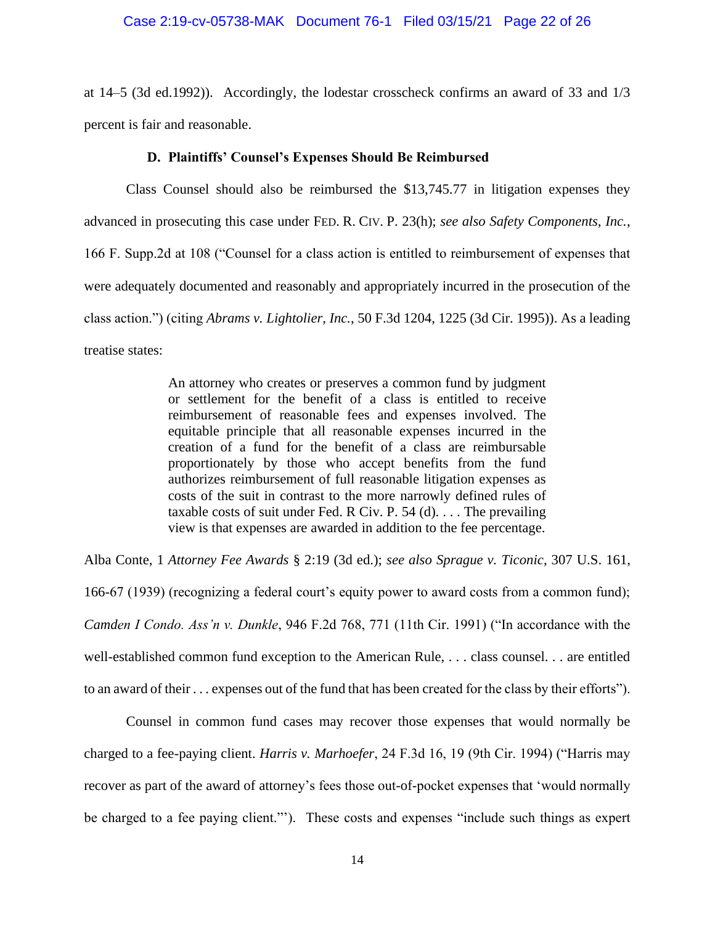## Case 2:19-cv-05738-MAK Document 76-1 Filed 03/15/21 Page 22 of 26

at 14–5 (3d ed.1992)). Accordingly, the lodestar crosscheck confirms an award of 33 and 1/3 percent is fair and reasonable.

## **D. Plaintiffs' Counsel's Expenses Should Be Reimbursed**

Class Counsel should also be reimbursed the \$13,745.77 in litigation expenses they advanced in prosecuting this case under FED. R. CIV. P. 23(h); *see also Safety Components, Inc.*, 166 F. Supp.2d at 108 ("Counsel for a class action is entitled to reimbursement of expenses that were adequately documented and reasonably and appropriately incurred in the prosecution of the class action.") (citing *Abrams v. Lightolier, Inc.*, 50 F.3d 1204, 1225 (3d Cir. 1995)). As a leading treatise states:

> An attorney who creates or preserves a common fund by judgment or settlement for the benefit of a class is entitled to receive reimbursement of reasonable fees and expenses involved. The equitable principle that all reasonable expenses incurred in the creation of a fund for the benefit of a class are reimbursable proportionately by those who accept benefits from the fund authorizes reimbursement of full reasonable litigation expenses as costs of the suit in contrast to the more narrowly defined rules of taxable costs of suit under Fed. R Civ. P.  $54$  (d). . . . The prevailing view is that expenses are awarded in addition to the fee percentage.

Alba Conte, 1 *Attorney Fee Awards* § 2:19 (3d ed.); *see also Sprague v. Ticonic*, 307 U.S. 161, 166-67 (1939) (recognizing a federal court's equity power to award costs from a common fund); *Camden I Condo. Ass'n v. Dunkle*, 946 F.2d 768, 771 (11th Cir. 1991) ("In accordance with the well-established common fund exception to the American Rule, . . . class counsel. . . are entitled to an award of their . . . expenses out of the fund that has been created for the class by their efforts").

Counsel in common fund cases may recover those expenses that would normally be charged to a fee-paying client. *Harris v. Marhoefer*, 24 F.3d 16, 19 (9th Cir. 1994) ("Harris may recover as part of the award of attorney's fees those out-of-pocket expenses that 'would normally be charged to a fee paying client."'). These costs and expenses "include such things as expert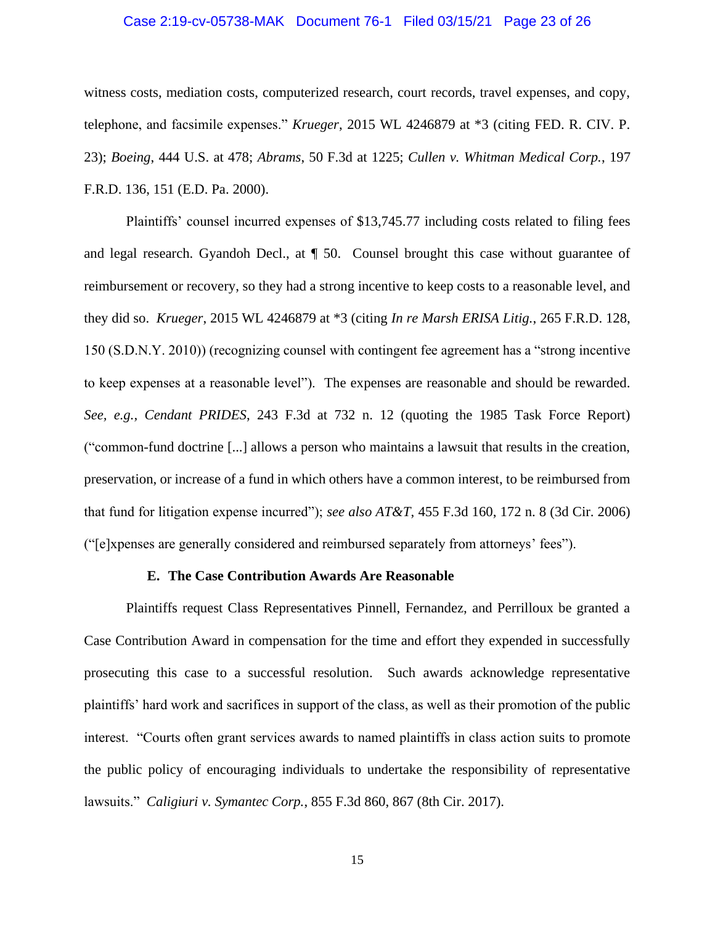## Case 2:19-cv-05738-MAK Document 76-1 Filed 03/15/21 Page 23 of 26

witness costs, mediation costs, computerized research, court records, travel expenses, and copy, telephone, and facsimile expenses." *Krueger*, 2015 WL 4246879 at \*3 (citing FED. R. CIV. P. 23); *Boeing*, 444 U.S. at 478; *Abrams*, 50 F.3d at 1225; *Cullen v. Whitman Medical Corp.*, 197 F.R.D. 136, 151 (E.D. Pa. 2000).

Plaintiffs' counsel incurred expenses of \$13,745.77 including costs related to filing fees and legal research. Gyandoh Decl., at ¶ 50. Counsel brought this case without guarantee of reimbursement or recovery, so they had a strong incentive to keep costs to a reasonable level, and they did so. *Krueger*, 2015 WL 4246879 at \*3 (citing *In re Marsh ERISA Litig.*, 265 F.R.D. 128, 150 (S.D.N.Y. 2010)) (recognizing counsel with contingent fee agreement has a "strong incentive to keep expenses at a reasonable level"). The expenses are reasonable and should be rewarded. *See, e.g., Cendant PRIDES*, 243 F.3d at 732 n. 12 (quoting the 1985 Task Force Report) ("common-fund doctrine [...] allows a person who maintains a lawsuit that results in the creation, preservation, or increase of a fund in which others have a common interest, to be reimbursed from that fund for litigation expense incurred"); *see also AT&T*, 455 F.3d 160, 172 n. 8 (3d Cir. 2006) ("[e]xpenses are generally considered and reimbursed separately from attorneys' fees").

#### **E. The Case Contribution Awards Are Reasonable**

Plaintiffs request Class Representatives Pinnell, Fernandez, and Perrilloux be granted a Case Contribution Award in compensation for the time and effort they expended in successfully prosecuting this case to a successful resolution. Such awards acknowledge representative plaintiffs' hard work and sacrifices in support of the class, as well as their promotion of the public interest. "Courts often grant services awards to named plaintiffs in class action suits to promote the public policy of encouraging individuals to undertake the responsibility of representative lawsuits." *Caligiuri v. Symantec Corp.*, 855 F.3d 860, 867 (8th Cir. 2017).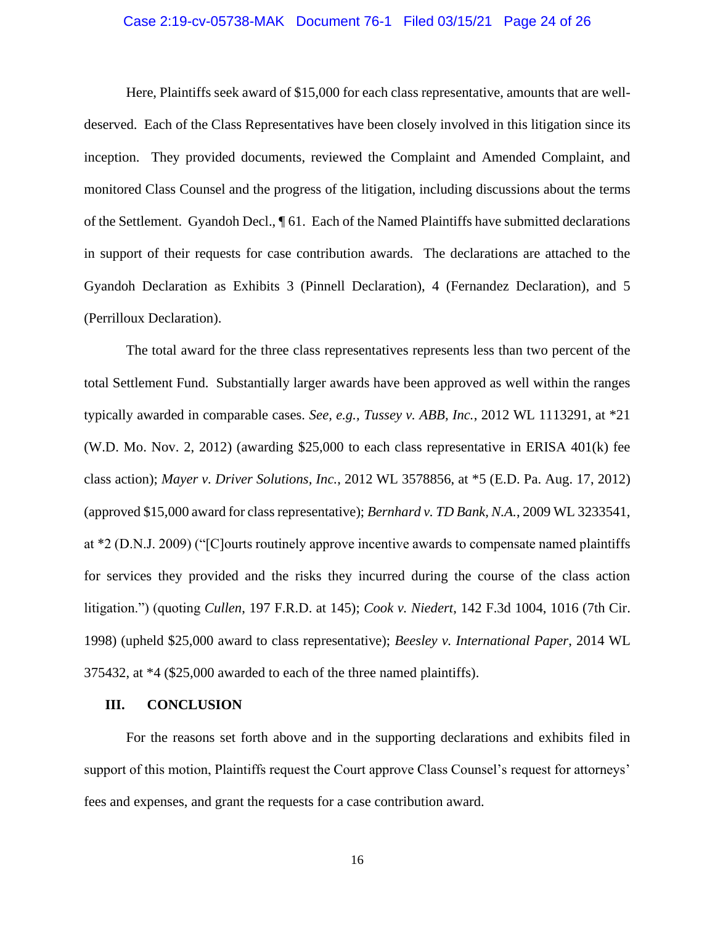## Case 2:19-cv-05738-MAK Document 76-1 Filed 03/15/21 Page 24 of 26

Here, Plaintiffs seek award of \$15,000 for each class representative, amounts that are welldeserved. Each of the Class Representatives have been closely involved in this litigation since its inception. They provided documents, reviewed the Complaint and Amended Complaint, and monitored Class Counsel and the progress of the litigation, including discussions about the terms of the Settlement. Gyandoh Decl., ¶ 61. Each of the Named Plaintiffs have submitted declarations in support of their requests for case contribution awards. The declarations are attached to the Gyandoh Declaration as Exhibits 3 (Pinnell Declaration), 4 (Fernandez Declaration), and 5 (Perrilloux Declaration).

The total award for the three class representatives represents less than two percent of the total Settlement Fund. Substantially larger awards have been approved as well within the ranges typically awarded in comparable cases. *See, e.g., Tussey v. ABB, Inc.*, 2012 WL 1113291, at \*21 (W.D. Mo. Nov. 2, 2012) (awarding \$25,000 to each class representative in ERISA 401(k) fee class action); *Mayer v. Driver Solutions, Inc.*, 2012 WL 3578856, at \*5 (E.D. Pa. Aug. 17, 2012) (approved \$15,000 award for class representative); *Bernhard v. TD Bank, N.A.*, 2009 WL 3233541, at \*2 (D.N.J. 2009) ("[C]ourts routinely approve incentive awards to compensate named plaintiffs for services they provided and the risks they incurred during the course of the class action litigation.") (quoting *Cullen*, 197 F.R.D. at 145); *Cook v. Niedert*, 142 F.3d 1004, 1016 (7th Cir. 1998) (upheld \$25,000 award to class representative); *Beesley v. International Paper*, 2014 WL 375432, at \*4 (\$25,000 awarded to each of the three named plaintiffs).

## **III. CONCLUSION**

For the reasons set forth above and in the supporting declarations and exhibits filed in support of this motion, Plaintiffs request the Court approve Class Counsel's request for attorneys' fees and expenses, and grant the requests for a case contribution award.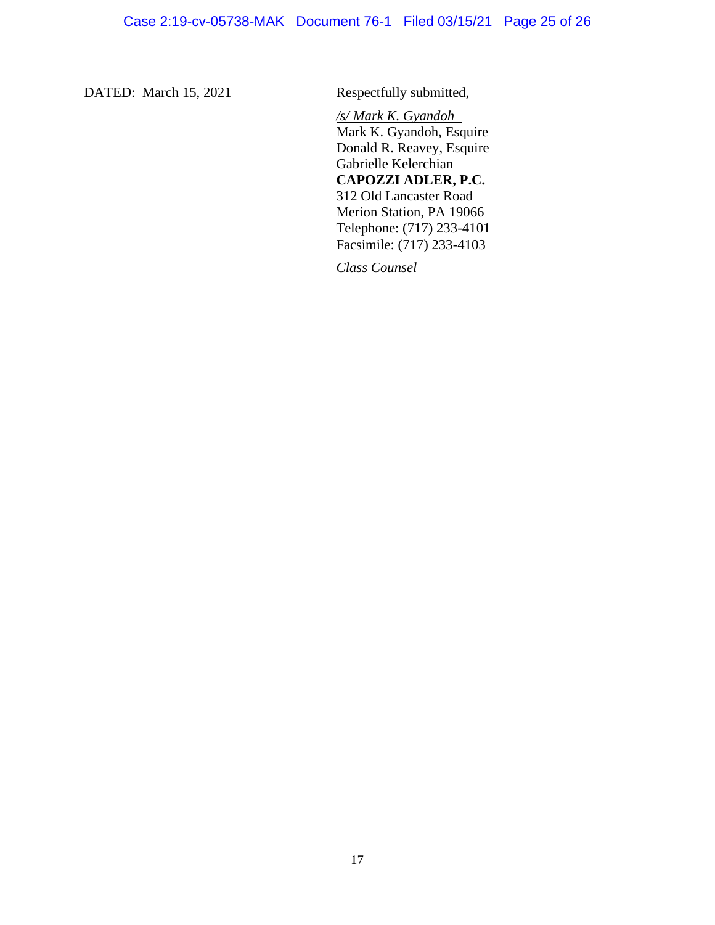DATED: March 15, 2021 Respectfully submitted,

*/s/ Mark K. Gyandoh* Mark K. Gyandoh, Esquire Donald R. Reavey, Esquire Gabrielle Kelerchian **CAPOZZI ADLER, P.C.** 312 Old Lancaster Road Merion Station, PA 19066 Telephone: (717) 233-4101 Facsimile: (717) 233-4103

*Class Counsel*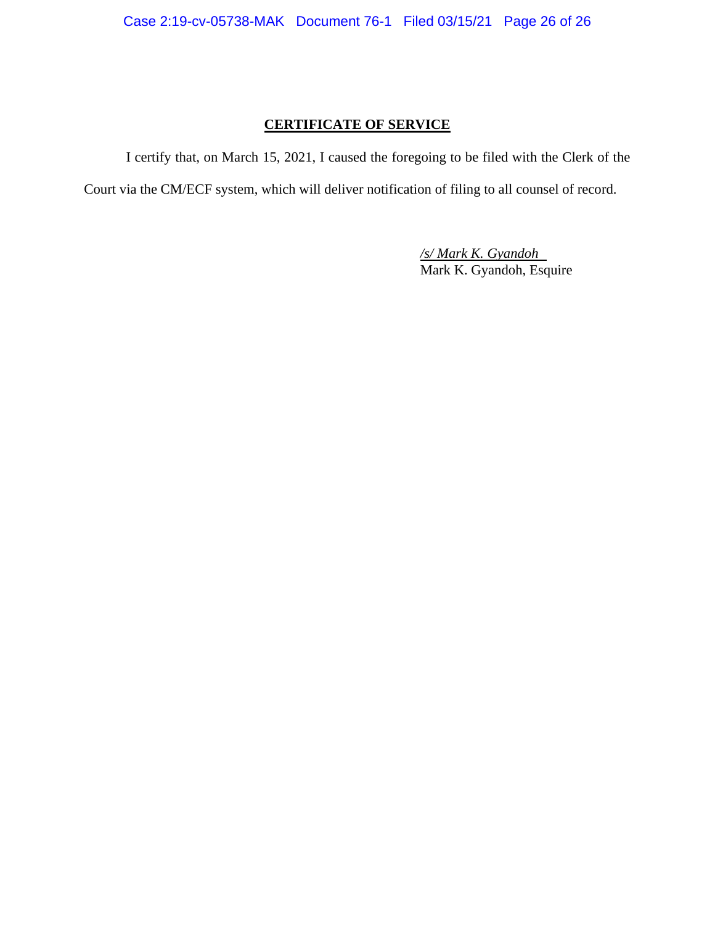# **CERTIFICATE OF SERVICE**

I certify that, on March 15, 2021, I caused the foregoing to be filed with the Clerk of the

Court via the CM/ECF system, which will deliver notification of filing to all counsel of record.

*/s/ Mark K. Gyandoh* Mark K. Gyandoh, Esquire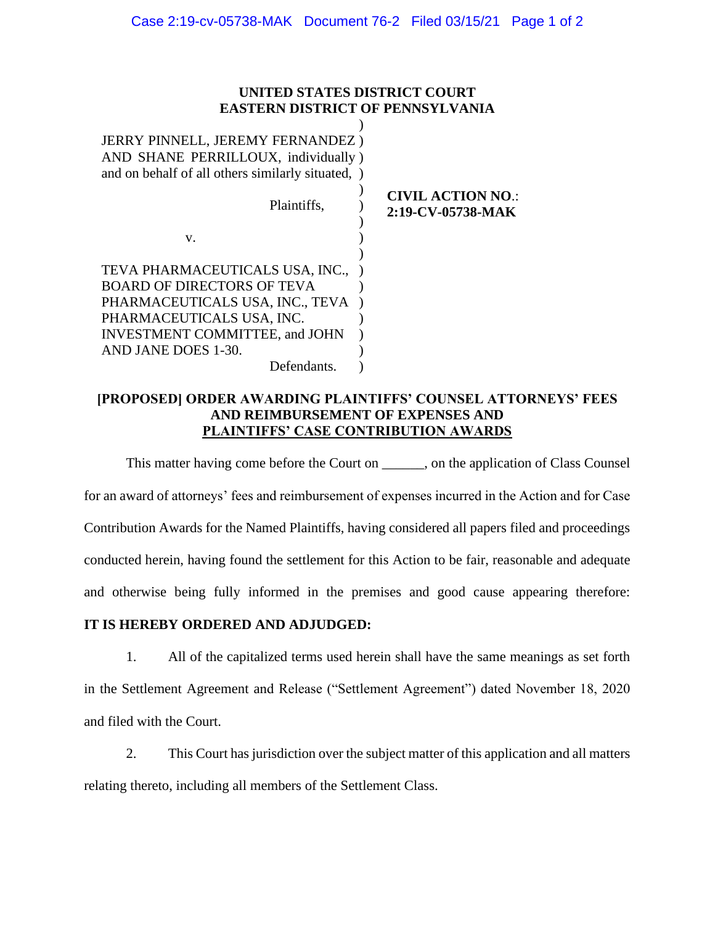# **UNITED STATES DISTRICT COURT EASTERN DISTRICT OF PENNSYLVANIA**

| <b>JERRY PINNELL, JEREMY FERNANDEZ)</b><br>AND SHANE PERRILLOUX, individually)<br>and on behalf of all others similarly situated, )                                                                  |                                               |
|------------------------------------------------------------------------------------------------------------------------------------------------------------------------------------------------------|-----------------------------------------------|
| Plaintiffs,                                                                                                                                                                                          | <b>CIVIL ACTION NO.:</b><br>2:19-CV-05738-MAK |
| V.                                                                                                                                                                                                   |                                               |
| TEVA PHARMACEUTICALS USA, INC.,<br><b>BOARD OF DIRECTORS OF TEVA</b><br>PHARMACEUTICALS USA, INC., TEVA<br>PHARMACEUTICALS USA, INC.<br><b>INVESTMENT COMMITTEE, and JOHN</b><br>AND JANE DOES 1-30. |                                               |
| Defendants.                                                                                                                                                                                          |                                               |

# **[PROPOSED] ORDER AWARDING PLAINTIFFS' COUNSEL ATTORNEYS' FEES AND REIMBURSEMENT OF EXPENSES AND PLAINTIFFS' CASE CONTRIBUTION AWARDS**

This matter having come before the Court on \_\_\_\_\_\_, on the application of Class Counsel for an award of attorneys' fees and reimbursement of expenses incurred in the Action and for Case Contribution Awards for the Named Plaintiffs, having considered all papers filed and proceedings conducted herein, having found the settlement for this Action to be fair, reasonable and adequate and otherwise being fully informed in the premises and good cause appearing therefore:

# **IT IS HEREBY ORDERED AND ADJUDGED:**

1. All of the capitalized terms used herein shall have the same meanings as set forth in the Settlement Agreement and Release ("Settlement Agreement") dated November 18, 2020 and filed with the Court.

2. This Court has jurisdiction over the subject matter of this application and all matters relating thereto, including all members of the Settlement Class.